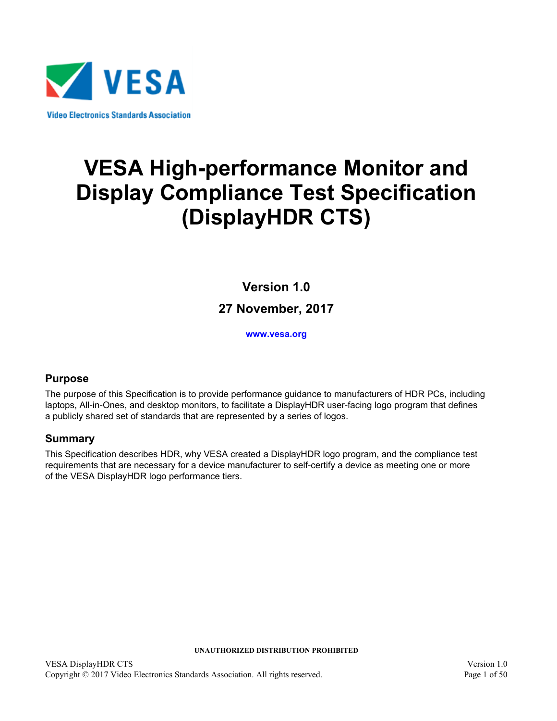

# **VESA High-performance Monitor and Display Compliance Test Specification (DisplayHDR CTS)**

**Version 1.0 27 November, 2017**

<span id="page-0-3"></span>**[www.vesa.org](http://www.vesa.org/)**

## <span id="page-0-1"></span><span id="page-0-0"></span>**Purpose**

The purpose of this Specification is to provide performance guidance to manufacturers of HDR PCs, including laptops, All-in-Ones, and desktop monitors, to facilitate a DisplayHDR user-facing logo program that defines a publicly shared set of standards that are represented by a series of logos.

## <span id="page-0-2"></span>**Summary**

This Specification describes HDR, why VESA created a DisplayHDR logo program, and the compliance test requirements that are necessary for a device manufacturer to self-certify a device as meeting one or more of the VESA DisplayHDR logo performance tiers.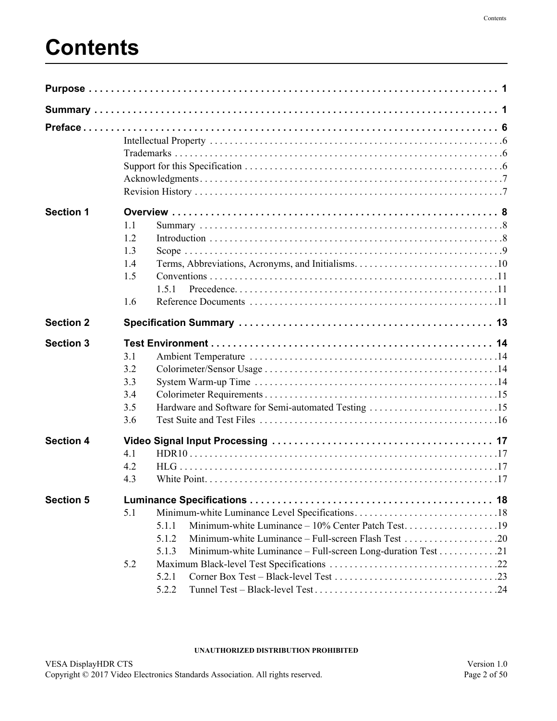# **Contents**

| <b>Section 1</b> | 1.1<br>1.2<br>1.3<br>1.4<br>1.5<br>1.5.1<br>1.6                                                                                                                             |  |
|------------------|-----------------------------------------------------------------------------------------------------------------------------------------------------------------------------|--|
| <b>Section 2</b> |                                                                                                                                                                             |  |
| <b>Section 3</b> | 3.1<br>3.2<br>3.3<br>3.4<br>3.5<br>3.6                                                                                                                                      |  |
| <b>Section 4</b> | 4.1<br>4.2<br>4.3                                                                                                                                                           |  |
| <b>Section 5</b> | 5.1<br>Minimum-white Luminance - 10% Center Patch Test19<br>5.1.1<br>5.1.2<br>Minimum-white Luminance - Full-screen Long-duration Test 21<br>5.1.3<br>5.2<br>5.2.1<br>5.2.2 |  |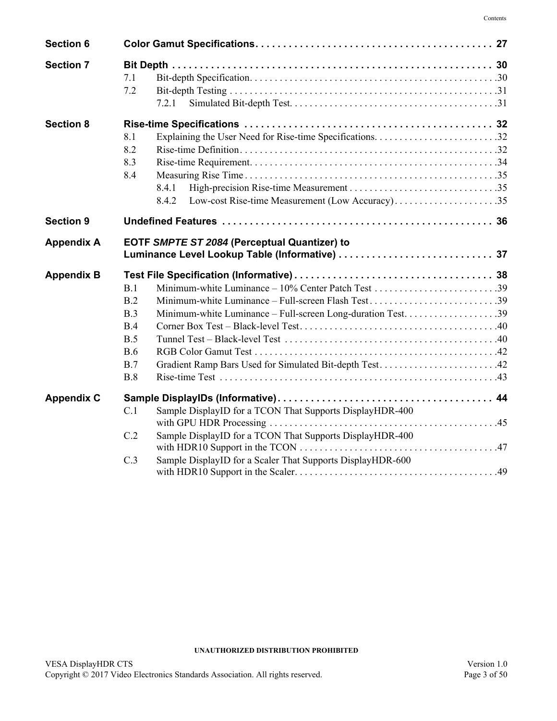| <b>Section 6</b>  |                                                                   |  |
|-------------------|-------------------------------------------------------------------|--|
| <b>Section 7</b>  | 7.1<br>7.2<br>7.2.1                                               |  |
| <b>Section 8</b>  |                                                                   |  |
|                   | 8.1                                                               |  |
|                   | 8.2                                                               |  |
|                   | 8.3                                                               |  |
|                   | 8.4                                                               |  |
|                   | 8.4.1                                                             |  |
|                   | Low-cost Rise-time Measurement (Low Accuracy)35<br>8.4.2          |  |
| <b>Section 9</b>  |                                                                   |  |
| <b>Appendix A</b> | EOTF SMPTE ST 2084 (Perceptual Quantizer) to                      |  |
| <b>Appendix B</b> |                                                                   |  |
|                   | B.1                                                               |  |
|                   | Minimum-white Luminance - Full-screen Flash Test39<br>B.2         |  |
|                   | B.3                                                               |  |
|                   | B.4                                                               |  |
|                   | B.5                                                               |  |
|                   | B.6                                                               |  |
|                   | Gradient Ramp Bars Used for Simulated Bit-depth Test42<br>B.7     |  |
|                   | B.8                                                               |  |
| <b>Appendix C</b> |                                                                   |  |
|                   | Sample DisplayID for a TCON That Supports DisplayHDR-400<br>C.1   |  |
|                   | Sample DisplayID for a TCON That Supports DisplayHDR-400<br>C.2   |  |
|                   | Sample DisplayID for a Scaler That Supports DisplayHDR-600<br>C.3 |  |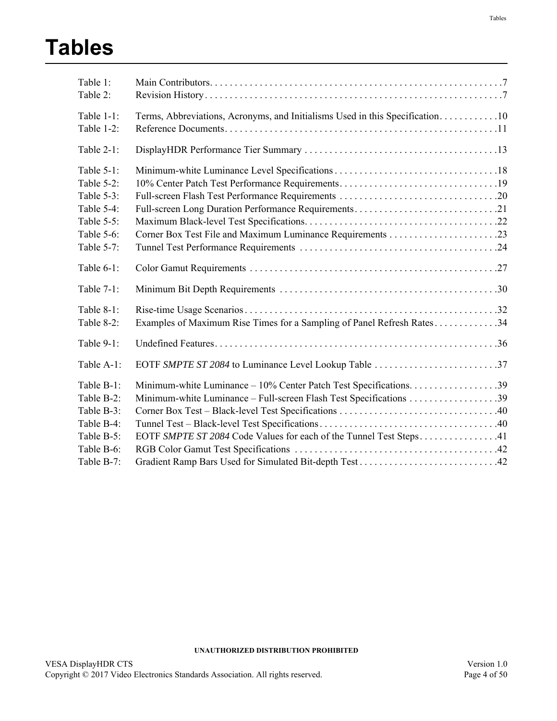# **Tables**

| Table 1:      |                                                                              |
|---------------|------------------------------------------------------------------------------|
| Table 2:      |                                                                              |
| Table $1-1$ : | Terms, Abbreviations, Acronyms, and Initialisms Used in this Specification10 |
| Table 1-2:    |                                                                              |
| Table 2-1:    |                                                                              |
| Table 5-1:    |                                                                              |
| Table 5-2:    | 10% Center Patch Test Performance Requirements19                             |
| Table 5-3:    |                                                                              |
| Table 5-4:    | Full-screen Long Duration Performance Requirements21                         |
| Table 5-5:    |                                                                              |
| Table 5-6:    |                                                                              |
| Table 5-7:    |                                                                              |
| Table $6-1$ : |                                                                              |
| Table $7-1$ : |                                                                              |
| Table 8-1:    |                                                                              |
| Table 8-2:    | Examples of Maximum Rise Times for a Sampling of Panel Refresh Rates34       |
| Table 9-1:    |                                                                              |
| Table A-1:    | EOTF SMPTE ST 2084 to Luminance Level Lookup Table 37                        |
| Table B-1:    |                                                                              |
| Table B-2:    |                                                                              |
| Table B-3:    |                                                                              |
| Table B-4:    |                                                                              |
| Table B-5:    | EOTF SMPTE ST 2084 Code Values for each of the Tunnel Test Steps41           |
| Table B-6:    |                                                                              |
| Table B-7:    |                                                                              |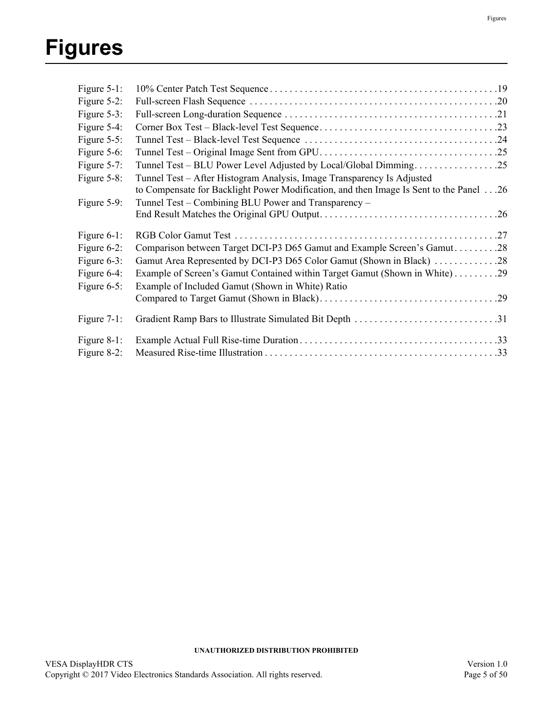| Figure 5-1:    |                                                                                        |
|----------------|----------------------------------------------------------------------------------------|
| Figure 5-2:    |                                                                                        |
| Figure 5-3:    |                                                                                        |
| Figure 5-4:    |                                                                                        |
| Figure 5-5:    |                                                                                        |
| Figure 5-6:    |                                                                                        |
| Figure 5-7:    | Tunnel Test – BLU Power Level Adjusted by Local/Global Dimming25                       |
| Figure 5-8:    | Tunnel Test - After Histogram Analysis, Image Transparency Is Adjusted                 |
|                | to Compensate for Backlight Power Modification, and then Image Is Sent to the Panel 26 |
| Figure 5-9:    | Tunnel Test – Combining BLU Power and Transparency –                                   |
|                |                                                                                        |
| Figure 6-1:    |                                                                                        |
| Figure $6-2$ : | Comparison between Target DCI-P3 D65 Gamut and Example Screen's Gamut28                |
| Figure 6-3:    | Gamut Area Represented by DCI-P3 D65 Color Gamut (Shown in Black) 28                   |
| Figure 6-4:    | Example of Screen's Gamut Contained within Target Gamut (Shown in White)29             |
| Figure $6-5$ : | Example of Included Gamut (Shown in White) Ratio                                       |
|                |                                                                                        |
| Figure $7-1$ : | Gradient Ramp Bars to Illustrate Simulated Bit Depth 31                                |
| Figure 8-1:    |                                                                                        |
| Figure 8-2:    |                                                                                        |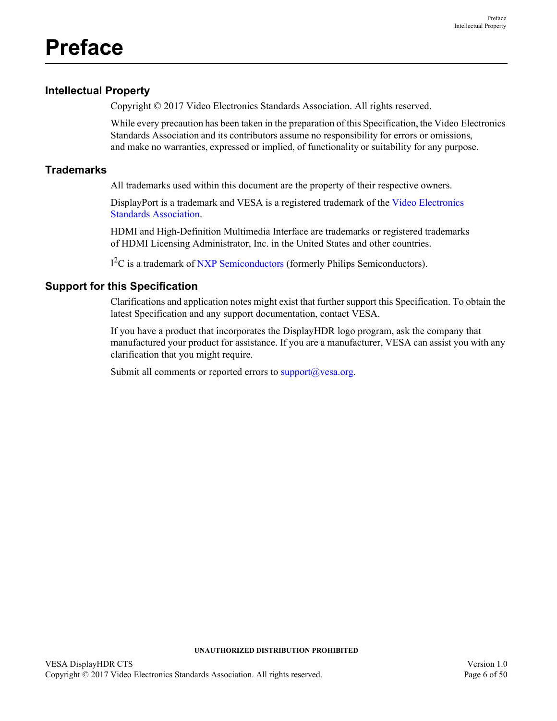## <span id="page-5-1"></span><span id="page-5-0"></span>**Intellectual Property**

Copyright © 2017 Video Electronics Standards Association. All rights reserved.

While every precaution has been taken in the preparation of this Specification, the Video Electronics Standards Association and its contributors assume no responsibility for errors or omissions, and make no warranties, expressed or implied, of functionality or suitability for any purpose.

## <span id="page-5-2"></span>**Trademarks**

All trademarks used within this document are the property of their respective owners.

DisplayPort is a trademark and VESA is a registered trademark of the Video Electronics Standards Association.

HDMI and High-Definition Multimedia Interface are trademarks or registered trademarks of HDMI Licensing Administrator, Inc. in the United States and other countries.

I<sup>2</sup>C is a trademark of NXP Semiconductors (formerly Philips Semiconductors).

## <span id="page-5-3"></span>**Support for this Specification**

Clarifications and application notes might exist that further support this Specification. To obtain the latest Specification and any support documentation, contact VESA.

If you have a product that incorporates the DisplayHDR logo program, ask the company that manufactured your product for assistance. If you are a manufacturer, VESA can assist you with any clarification that you might require.

Submit all comments or reported errors to  $\frac{\text{support}(a)}{\text{vesa.org}}$ .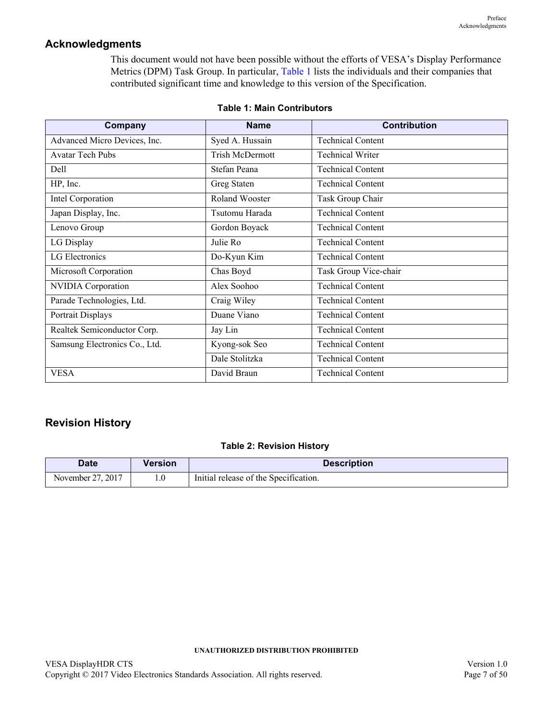## <span id="page-6-0"></span>**Acknowledgments**

This document would not have been possible without the efforts of VESA's Display Performance Metrics (DPM) Task Group. In particular, [Table 1](#page-6-2) lists the individuals and their companies that contributed significant time and knowledge to this version of the Specification.

<span id="page-6-2"></span>

| Company                       | <b>Name</b>     | <b>Contribution</b>      |  |
|-------------------------------|-----------------|--------------------------|--|
| Advanced Micro Devices, Inc.  | Syed A. Hussain | <b>Technical Content</b> |  |
| <b>Avatar Tech Pubs</b>       | Trish McDermott | <b>Technical Writer</b>  |  |
| Dell                          | Stefan Peana    | <b>Technical Content</b> |  |
| HP, Inc.                      | Greg Staten     | <b>Technical Content</b> |  |
| Intel Corporation             | Roland Wooster  | Task Group Chair         |  |
| Japan Display, Inc.           | Tsutomu Harada  | <b>Technical Content</b> |  |
| Lenovo Group                  | Gordon Boyack   | <b>Technical Content</b> |  |
| LG Display                    | Julie Ro        | <b>Technical Content</b> |  |
| LG Electronics                | Do-Kyun Kim     | <b>Technical Content</b> |  |
| Microsoft Corporation         | Chas Boyd       | Task Group Vice-chair    |  |
| NVIDIA Corporation            | Alex Soohoo     | <b>Technical Content</b> |  |
| Parade Technologies, Ltd.     | Craig Wiley     | <b>Technical Content</b> |  |
| Portrait Displays             | Duane Viano     | <b>Technical Content</b> |  |
| Realtek Semiconductor Corp.   | Jay Lin         | <b>Technical Content</b> |  |
| Samsung Electronics Co., Ltd. | Kyong-sok Seo   | <b>Technical Content</b> |  |
|                               | Dale Stolitzka  | <b>Technical Content</b> |  |
| <b>VESA</b>                   | David Braun     | <b>Technical Content</b> |  |

### **Table 1: Main Contributors**

## <span id="page-6-1"></span>**Revision History**

### **Table 2: [Revision History](#page-6-1)**

<span id="page-6-3"></span>

| <b>Date</b>       | Version | <b>Description</b>                    |
|-------------------|---------|---------------------------------------|
| November 27, 2017 |         | Initial release of the Specification. |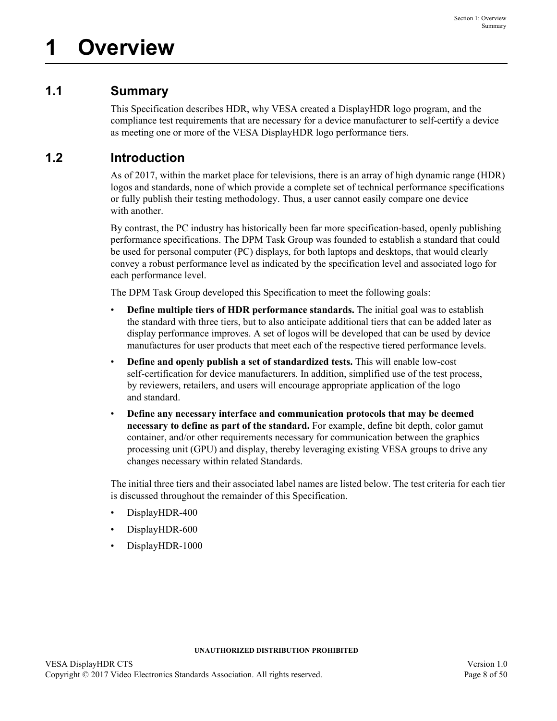# <span id="page-7-1"></span><span id="page-7-0"></span>**1.1 Summary**

This Specification describes HDR, why VESA created a DisplayHDR logo program, and the compliance test requirements that are necessary for a device manufacturer to self-certify a device as meeting one or more of the VESA DisplayHDR logo performance tiers.

# <span id="page-7-2"></span>**1.2 Introduction**

As of 2017, within the market place for televisions, there is an array of high dynamic range (HDR) logos and standards, none of which provide a complete set of technical performance specifications or fully publish their testing methodology. Thus, a user cannot easily compare one device with another.

By contrast, the PC industry has historically been far more specification-based, openly publishing performance specifications. The DPM Task Group was founded to establish a standard that could be used for personal computer (PC) displays, for both laptops and desktops, that would clearly convey a robust performance level as indicated by the specification level and associated logo for each performance level.

The DPM Task Group developed this Specification to meet the following goals:

- **Define multiple tiers of HDR performance standards.** The initial goal was to establish the standard with three tiers, but to also anticipate additional tiers that can be added later as display performance improves. A set of logos will be developed that can be used by device manufactures for user products that meet each of the respective tiered performance levels.
- **Define and openly publish a set of standardized tests.** This will enable low-cost self-certification for device manufacturers. In addition, simplified use of the test process, by reviewers, retailers, and users will encourage appropriate application of the logo and standard.
- **Define any necessary interface and communication protocols that may be deemed necessary to define as part of the standard.** For example, define bit depth, color gamut container, and/or other requirements necessary for communication between the graphics processing unit (GPU) and display, thereby leveraging existing VESA groups to drive any changes necessary within related Standards.

The initial three tiers and their associated label names are listed below. The test criteria for each tier is discussed throughout the remainder of this Specification.

- DisplayHDR-400
- DisplayHDR-600
- DisplayHDR-1000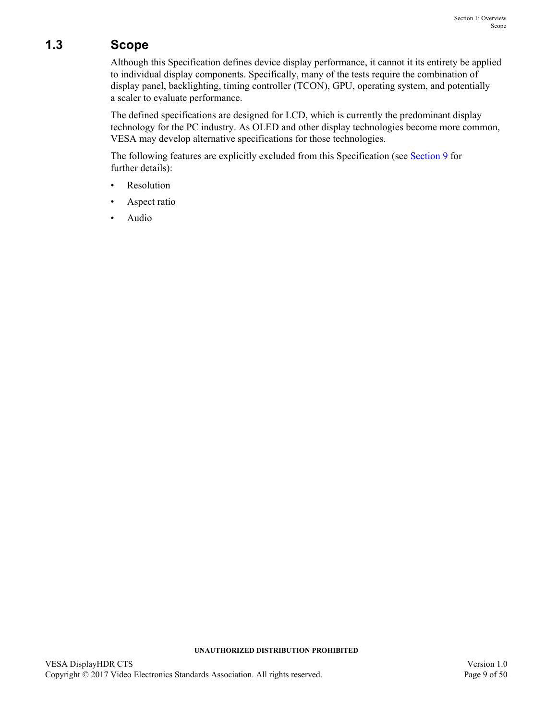# <span id="page-8-0"></span>**1.3 Scope**

Although this Specification defines device display performance, it cannot it its entirety be applied to individual display components. Specifically, many of the tests require the combination of display panel, backlighting, timing controller (TCON), GPU, operating system, and potentially a scaler to evaluate performance.

The defined specifications are designed for LCD, which is currently the predominant display technology for the PC industry. As OLED and other display technologies become more common, VESA may develop alternative specifications for those technologies.

The following features are explicitly excluded from this Specification (see [Section 9](#page-35-2) for further details):

- **Resolution**
- Aspect ratio
- Audio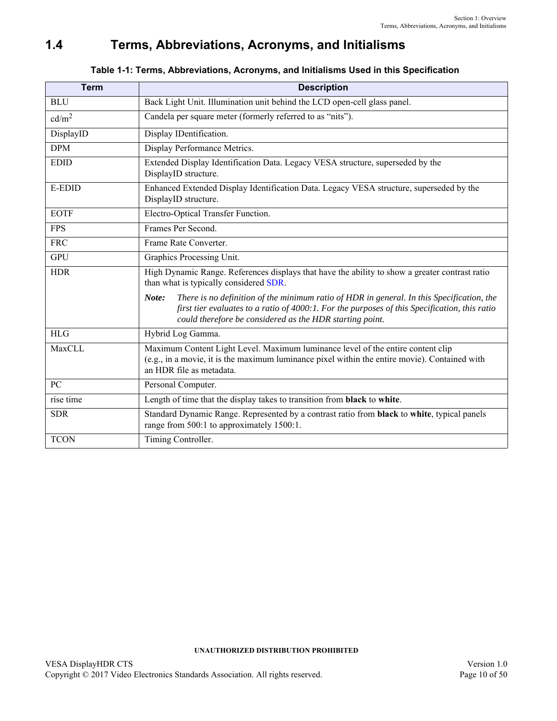# <span id="page-9-0"></span>**1.4 Terms, Abbreviations, Acronyms, and Initialisms**

<span id="page-9-2"></span><span id="page-9-1"></span>

| <b>Term</b>       | <b>Description</b>                                                                                                                                                                                                                                              |  |  |  |  |
|-------------------|-----------------------------------------------------------------------------------------------------------------------------------------------------------------------------------------------------------------------------------------------------------------|--|--|--|--|
| <b>BLU</b>        | Back Light Unit. Illumination unit behind the LCD open-cell glass panel.                                                                                                                                                                                        |  |  |  |  |
| cd/m <sup>2</sup> | Candela per square meter (formerly referred to as "nits").                                                                                                                                                                                                      |  |  |  |  |
| DisplayID         | Display IDentification.                                                                                                                                                                                                                                         |  |  |  |  |
| <b>DPM</b>        | Display Performance Metrics.                                                                                                                                                                                                                                    |  |  |  |  |
| <b>EDID</b>       | Extended Display Identification Data. Legacy VESA structure, superseded by the<br>DisplayID structure.                                                                                                                                                          |  |  |  |  |
| <b>E-EDID</b>     | Enhanced Extended Display Identification Data. Legacy VESA structure, superseded by the<br>DisplayID structure.                                                                                                                                                 |  |  |  |  |
| <b>EOTF</b>       | Electro-Optical Transfer Function.                                                                                                                                                                                                                              |  |  |  |  |
| <b>FPS</b>        | Frames Per Second.                                                                                                                                                                                                                                              |  |  |  |  |
| <b>FRC</b>        | Frame Rate Converter.                                                                                                                                                                                                                                           |  |  |  |  |
| <b>GPU</b>        | Graphics Processing Unit.                                                                                                                                                                                                                                       |  |  |  |  |
| <b>HDR</b>        | High Dynamic Range. References displays that have the ability to show a greater contrast ratio<br>than what is typically considered SDR.                                                                                                                        |  |  |  |  |
|                   | There is no definition of the minimum ratio of HDR in general. In this Specification, the<br>Note:<br>first tier evaluates to a ratio of 4000:1. For the purposes of this Specification, this ratio<br>could therefore be considered as the HDR starting point. |  |  |  |  |
| <b>HLG</b>        | Hybrid Log Gamma.                                                                                                                                                                                                                                               |  |  |  |  |
| MaxCLL            | Maximum Content Light Level. Maximum luminance level of the entire content clip<br>(e.g., in a movie, it is the maximum luminance pixel within the entire movie). Contained with<br>an HDR file as metadata.                                                    |  |  |  |  |
| PC                | Personal Computer.                                                                                                                                                                                                                                              |  |  |  |  |
| rise time         | Length of time that the display takes to transition from black to white.                                                                                                                                                                                        |  |  |  |  |
| <b>SDR</b>        | Standard Dynamic Range. Represented by a contrast ratio from <b>black</b> to white, typical panels<br>range from 500:1 to approximately 1500:1.                                                                                                                 |  |  |  |  |
| <b>TCON</b>       | Timing Controller.                                                                                                                                                                                                                                              |  |  |  |  |

### **Table 1-1: [Terms, Abbreviations, Acronyms, and Initialisms](#page-9-0) Used in this Specification**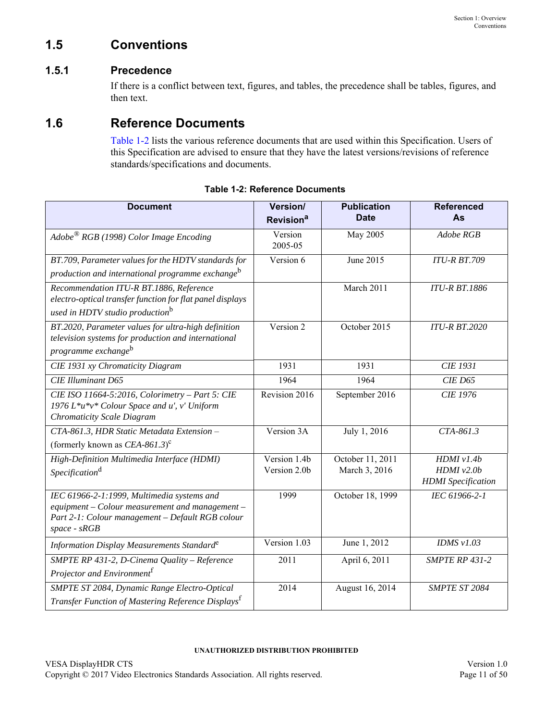# <span id="page-10-0"></span>**1.5 Conventions**

## <span id="page-10-1"></span>**1.5.1 Precedence**

If there is a conflict between text, figures, and tables, the precedence shall be tables, figures, and then text.

## <span id="page-10-2"></span>**1.6 Reference Documents**

[Table 1-2](#page-10-3) lists the various reference documents that are used within this Specification. Users of this Specification are advised to ensure that they have the latest versions/revisions of reference standards/specifications and documents.

<span id="page-10-3"></span>

| <b>Document</b>                                                                                                                                                       | Version/<br>Revision <sup>a</sup> | <b>Publication</b><br><b>Date</b> | <b>Referenced</b><br>As                                   |
|-----------------------------------------------------------------------------------------------------------------------------------------------------------------------|-----------------------------------|-----------------------------------|-----------------------------------------------------------|
| $Adobe^{\circledR}$ RGB (1998) Color Image Encoding                                                                                                                   | Version<br>2005-05                | May 2005                          | Adobe RGB                                                 |
| BT.709, Parameter values for the HDTV standards for<br>production and international programme exchange <sup>b</sup>                                                   | Version 6                         | June 2015                         | <b>ITU-R BT.709</b>                                       |
| Recommendation ITU-R BT.1886, Reference<br>electro-optical transfer function for flat panel displays<br>used in HDTV studio production <sup>b</sup>                   |                                   | March 2011                        | <b>ITU-R BT.1886</b>                                      |
| BT.2020, Parameter values for ultra-high definition<br>television systems for production and international<br>programme exchange <sup>b</sup>                         | Version 2                         | October 2015                      | <b>ITU-R BT.2020</b>                                      |
| <b>CIE 1931</b> xy Chromaticity Diagram                                                                                                                               | 1931                              | 1931                              | <b>CIE 1931</b>                                           |
| <b>CIE Illuminant D65</b>                                                                                                                                             | 1964                              | 1964                              | <b>CIE D65</b>                                            |
| CIE ISO 11664-5:2016, Colorimetry - Part 5: CIE<br>1976 L*u*v* Colour Space and u', v' Uniform<br><b>Chromaticity Scale Diagram</b>                                   | Revision 2016                     | September 2016                    | <b>CIE 1976</b>                                           |
| CTA-861.3, HDR Static Metadata Extension -<br>(formerly known as $CEA-861.3$ ) <sup>c</sup>                                                                           | Version 3A                        | July 1, 2016                      | CTA-861.3                                                 |
| High-Definition Multimedia Interface (HDMI)<br>Specification <sup>d</sup>                                                                                             | Version 1.4b<br>Version 2.0b      | October 11, 2011<br>March 3, 2016 | HDMI v1.4b<br>$HDMI$ $v2.0b$<br><b>HDMI</b> Specification |
| IEC 61966-2-1:1999, Multimedia systems and<br>equipment - Colour measurement and management -<br>Part 2-1: Colour management - Default RGB colour<br>$space$ - $sRGB$ | 1999                              | October 18, 1999                  | IEC 61966-2-1                                             |
| Information Display Measurements Standard <sup>e</sup>                                                                                                                | Version 1.03                      | June 1, 2012                      | IDMS $v1.03$                                              |
| SMPTE RP 431-2, D-Cinema Quality - Reference<br>Projector and Environment <sup>f</sup>                                                                                | 2011                              | April 6, 2011                     | <b>SMPTE RP 431-2</b>                                     |
| SMPTE ST 2084, Dynamic Range Electro-Optical<br>Transfer Function of Mastering Reference Displays <sup>t</sup>                                                        | 2014                              | August 16, 2014                   | <b>SMPTE ST 2084</b>                                      |

|  | <b>Table 1-2: Reference Documents</b> |
|--|---------------------------------------|
|  |                                       |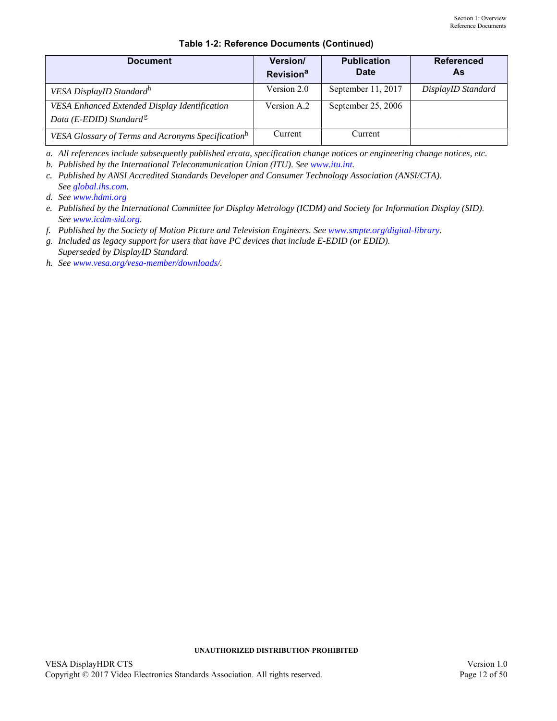| <b>Document</b>                                                                      | <b>Version/</b><br><b>Revision<sup>a</sup></b> | <b>Publication</b><br><b>Date</b> | <b>Referenced</b><br>As |
|--------------------------------------------------------------------------------------|------------------------------------------------|-----------------------------------|-------------------------|
| VESA DisplayID Standard <sup>h</sup>                                                 | Version 2.0                                    | September 11, 2017                | DisplayID Standard      |
| VESA Enhanced Extended Display Identification<br>Data (E-EDID) Standard <sup>8</sup> | Version A.2                                    | September 25, 2006                |                         |
| VESA Glossary of Terms and Acronyms Specification <sup>h</sup>                       | Current                                        | Current                           |                         |

### **Table 1-2: Reference Documents (Continued)**

*a. All references include subsequently published errata, specification change notices or engineering change notices, etc.*

<span id="page-11-0"></span>*b. Published by the International Telecommunication Union (ITU)*. *See [www.itu.int.](http://www.itu.int)*

*c. Published by ANSI Accredited Standards Developer and Consumer Technology Association (ANSI/CTA)*. *See [global.ihs.com](http://global.ihs.com).*

*d. See [www.hdmi.org](http://www.hdmi.org)*

*e. Published by the International Committee for Display Metrology (ICDM) and Society for Information Display (SID)*. *See [www.icdm-sid.org.](http://www.icdm-sid.org)*

<span id="page-11-1"></span>*f. Published by the Society of Motion Picture and Television Engineers. See [www.smpte.org/digital-library](http://www.smpte.org/digital-library).*

*g. Included as legacy support for users that have PC devices that include E-EDID (or EDID). Superseded by DisplayID Standard*.

<span id="page-11-2"></span>*h. See [www.vesa.org/vesa-member/downloads/](https://www.vesa.org/vesa-member-downloads/).*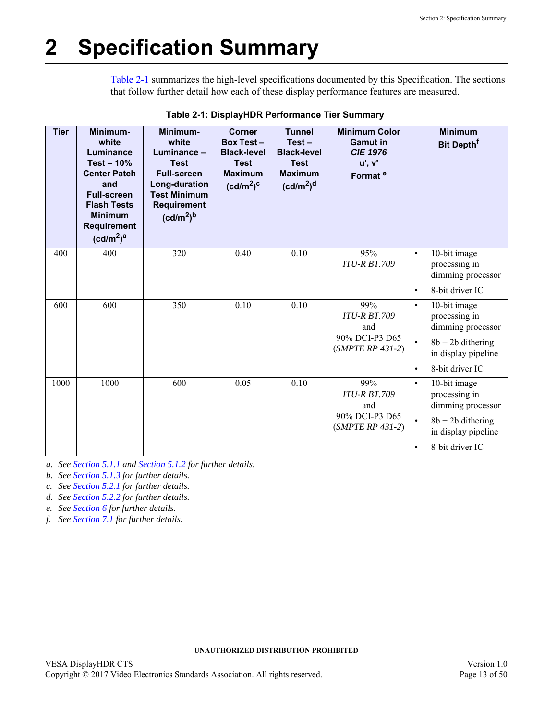# <span id="page-12-0"></span>**2 Specification Summary**

[Table 2-1](#page-12-1) summarizes the high-level specifications documented by this Specification. The sections that follow further detail how each of these display performance features are measured.

<span id="page-12-1"></span>

| <b>Tier</b> | Minimum-<br>white<br>Luminance<br>Test $-10%$<br><b>Center Patch</b><br>and<br><b>Full-screen</b><br><b>Flash Tests</b><br><b>Minimum</b><br><b>Requirement</b><br>(cd/m <sup>2</sup> ) <sup>a</sup> | Minimum-<br>white<br>Luminance -<br><b>Test</b><br><b>Full-screen</b><br>Long-duration<br><b>Test Minimum</b><br>Requirement<br>(cd/m <sup>2</sup> ) <sup>b</sup> | <b>Corner</b><br><b>Box Test-</b><br><b>Black-level</b><br><b>Test</b><br><b>Maximum</b><br>(cd/m <sup>2</sup> ) <sup>c</sup> | <b>Tunnel</b><br>$Test -$<br><b>Black-level</b><br><b>Test</b><br><b>Maximum</b><br>(cd/m <sup>2</sup> ) <sup>d</sup> | <b>Minimum Color</b><br><b>Gamut</b> in<br><b>CIE 1976</b><br>u', v'<br>Format <sup>e</sup> |                                     | <b>Minimum</b><br><b>Bit Depth<sup>f</sup></b>                                                                      |
|-------------|------------------------------------------------------------------------------------------------------------------------------------------------------------------------------------------------------|-------------------------------------------------------------------------------------------------------------------------------------------------------------------|-------------------------------------------------------------------------------------------------------------------------------|-----------------------------------------------------------------------------------------------------------------------|---------------------------------------------------------------------------------------------|-------------------------------------|---------------------------------------------------------------------------------------------------------------------|
| 400         | 400                                                                                                                                                                                                  | 320                                                                                                                                                               | 0.40                                                                                                                          | 0.10                                                                                                                  | 95%<br><b>ITU-R BT.709</b>                                                                  | $\bullet$                           | 10-bit image<br>processing in<br>dimming processor                                                                  |
|             |                                                                                                                                                                                                      |                                                                                                                                                                   |                                                                                                                               |                                                                                                                       |                                                                                             | $\bullet$                           | 8-bit driver IC                                                                                                     |
| 600         | 600                                                                                                                                                                                                  | 350                                                                                                                                                               | 0.10                                                                                                                          | 0.10                                                                                                                  | 99%<br><b>ITU-R BT.709</b><br>and<br>90% DCI-P3 D65<br>$(SMPTE RP 431-2)$                   | $\bullet$<br>$\bullet$<br>$\bullet$ | 10-bit image<br>processing in<br>dimming processor<br>$8b + 2b$ dithering<br>in display pipeline<br>8-bit driver IC |
| 1000        | 1000                                                                                                                                                                                                 | 600                                                                                                                                                               | 0.05                                                                                                                          | 0.10                                                                                                                  | 99%<br><b>ITU-R BT.709</b><br>and<br>90% DCI-P3 D65<br>$(SMPTE RP 431-2)$                   | $\bullet$<br>$\bullet$              | 10-bit image<br>processing in<br>dimming processor<br>$8b + 2b$ dithering<br>in display pipeline<br>8-bit driver IC |

| Table 2-1: DisplayHDR Performance Tier Summary |
|------------------------------------------------|
|------------------------------------------------|

*a. See [Section 5.1.1](#page-18-3) and [Section 5.1.2](#page-19-3) for further details.*

*b. See [Section 5.1.3](#page-20-3) for further details.*

*c. See [Section 5.2.1](#page-22-3) for further details.*

*d. See [Section 5.2.2](#page-23-3) for further details.*

*e. See [Section 6](#page-26-3) for further details.*

*f. See [Section 7.1](#page-29-3) for further details.*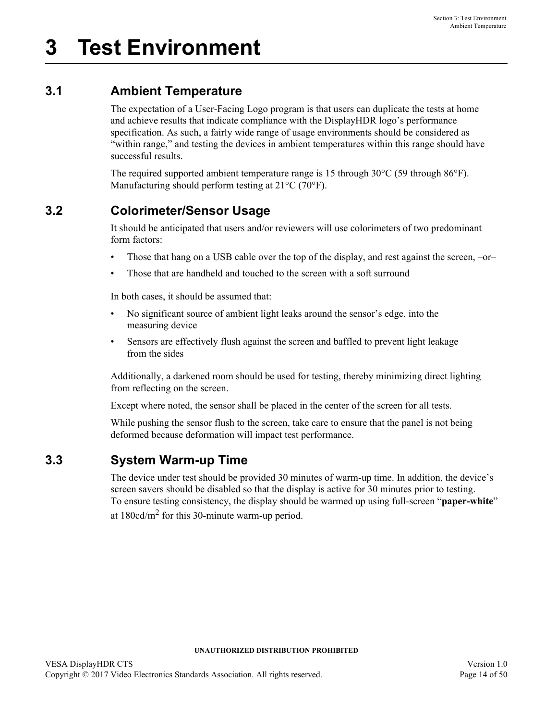# <span id="page-13-1"></span><span id="page-13-0"></span>**3.1 Ambient Temperature**

The expectation of a User-Facing Logo program is that users can duplicate the tests at home and achieve results that indicate compliance with the DisplayHDR logo's performance specification. As such, a fairly wide range of usage environments should be considered as "within range," and testing the devices in ambient temperatures within this range should have successful results.

The required supported ambient temperature range is 15 through 30°C (59 through 86°F). Manufacturing should perform testing at 21°C (70°F).

# <span id="page-13-2"></span>**3.2 Colorimeter/Sensor Usage**

It should be anticipated that users and/or reviewers will use colorimeters of two predominant form factors:

- Those that hang on a USB cable over the top of the display, and rest against the screen, –or–
- Those that are handheld and touched to the screen with a soft surround

In both cases, it should be assumed that:

- No significant source of ambient light leaks around the sensor's edge, into the measuring device
- Sensors are effectively flush against the screen and baffled to prevent light leakage from the sides

Additionally, a darkened room should be used for testing, thereby minimizing direct lighting from reflecting on the screen.

Except where noted, the sensor shall be placed in the center of the screen for all tests.

While pushing the sensor flush to the screen, take care to ensure that the panel is not being deformed because deformation will impact test performance.

## <span id="page-13-3"></span>**3.3 System Warm-up Time**

The device under test should be provided 30 minutes of warm-up time. In addition, the device's screen savers should be disabled so that the display is active for 30 minutes prior to testing. To ensure testing consistency, the display should be warmed up using full-screen "**paper-white**" at  $180 \text{cd/m}^2$  for this 30-minute warm-up period.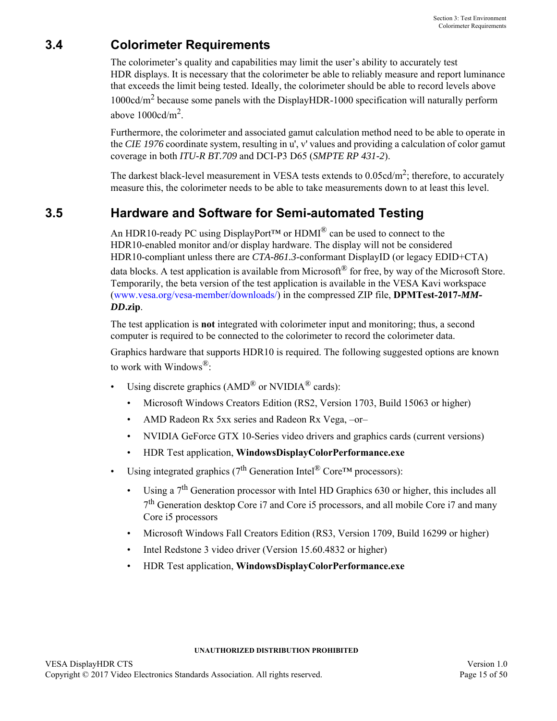# <span id="page-14-0"></span>**3.4 Colorimeter Requirements**

The colorimeter's quality and capabilities may limit the user's ability to accurately test HDR displays. It is necessary that the colorimeter be able to reliably measure and report luminance that exceeds the limit being tested. Ideally, the colorimeter should be able to record levels above  $1000 \text{cd/m}^2$  because some panels with the DisplayHDR-1000 specification will naturally perform above  $1000 \text{cd/m}^2$ .

Furthermore, the colorimeter and associated gamut calculation method need to be able to operate in the *CIE 1976* coordinate system, resulting in u', v' values and providing a calculation of color gamut coverage in both *ITU-R BT.709* and DCI-P3 D65 (*SMPTE RP 431-2*).

The darkest black-level measurement in VESA tests extends to  $0.05 \text{cd/m}^2$ ; therefore, to accurately measure this, the colorimeter needs to be able to take measurements down to at least this level.

# <span id="page-14-1"></span>**3.5 Hardware and Software for Semi-automated Testing**

An HDR10-ready PC using DisplayPort<sup>TM</sup> or HDMI<sup>®</sup> can be used to connect to the HDR10-enabled monitor and/or display hardware. The display will not be considered HDR10-compliant unless there are *CTA-861.3*-conformant DisplayID (or legacy EDID+CTA) data blocks. A test application is available from Microsoft<sup>®</sup> for free, by way of the Microsoft Store. Temporarily, the beta version of the test application is available in the VESA Kavi workspace [\(www.vesa.org/vesa-member/downloads/\)](https://www.vesa.org/vesa-member-downloads/) in the compressed ZIP file, **DPMTest-2017-***MM***-***DD***.zip**.

The test application is **not** integrated with colorimeter input and monitoring; thus, a second computer is required to be connected to the colorimeter to record the colorimeter data.

Graphics hardware that supports HDR10 is required. The following suggested options are known to work with Windows®:

- Using discrete graphics  $(AMD^{\circledR}$  or NVIDIA $^{\circledR}$  cards):
	- Microsoft Windows Creators Edition (RS2, Version 1703, Build 15063 or higher)
	- AMD Radeon Rx 5xx series and Radeon Rx Vega, -or-
	- NVIDIA GeForce GTX 10-Series video drivers and graphics cards (current versions)
	- HDR Test application, **WindowsDisplayColorPerformance.exe**
- Using integrated graphics ( $7<sup>th</sup>$  Generation Intel<sup>®</sup> Core<sup>TM</sup> processors):
	- Using a  $7<sup>th</sup>$  Generation processor with Intel HD Graphics 630 or higher, this includes all 7th Generation desktop Core i7 and Core i5 processors, and all mobile Core i7 and many Core i5 processors
	- Microsoft Windows Fall Creators Edition (RS3, Version 1709, Build 16299 or higher)
	- Intel Redstone 3 video driver (Version 15.60.4832 or higher)
	- HDR Test application, **WindowsDisplayColorPerformance.exe**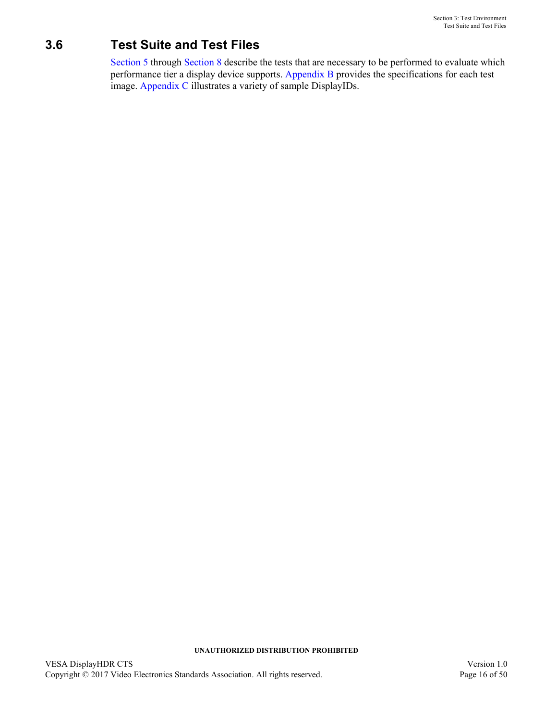# <span id="page-15-0"></span>**3.6 Test Suite and Test Files**

[Section 5](#page-17-3) through [Section 8](#page-31-4) describe the tests that are necessary to be performed to evaluate which performance tier a display device supports. [Appendix B](#page-37-1) provides the specifications for each test image. [Appendix C](#page-43-1) illustrates a variety of sample DisplayIDs.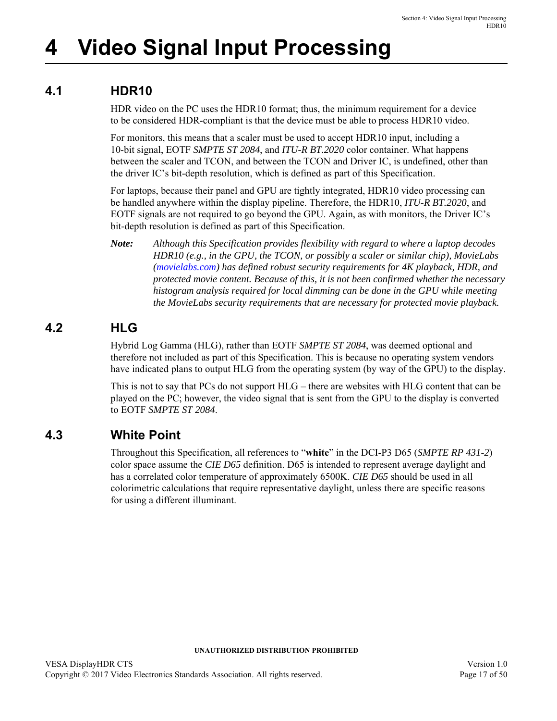# <span id="page-16-0"></span>**4 Video Signal Input Processing**

# <span id="page-16-1"></span>**4.1 HDR10**

<span id="page-16-4"></span>HDR video on the PC uses the HDR10 format; thus, the minimum requirement for a device to be considered HDR-compliant is that the device must be able to process HDR10 video.

For monitors, this means that a scaler must be used to accept HDR10 input, including a 10-bit signal, EOTF *SMPTE ST 2084*, and *ITU-R BT.2020* color container. What happens between the scaler and TCON, and between the TCON and Driver IC, is undefined, other than the driver IC's bit-depth resolution, which is defined as part of this Specification.

For laptops, because their panel and GPU are tightly integrated, HDR10 video processing can be handled anywhere within the display pipeline. Therefore, the HDR10, *ITU-R BT.2020*, and EOTF signals are not required to go beyond the GPU. Again, as with monitors, the Driver IC's bit-depth resolution is defined as part of this Specification.

*Note: Although this Specification provides flexibility with regard to where a laptop decodes HDR10 (e.g., in the GPU, the TCON, or possibly a scaler or similar chip), MovieLabs [\(movielabs.com\)](http://movielabs.com) has defined robust security requirements for 4K playback, HDR, and protected movie content. Because of this, it is not been confirmed whether the necessary histogram analysis required for local dimming can be done in the GPU while meeting the MovieLabs security requirements that are necessary for protected movie playback.*

## <span id="page-16-2"></span>**4.2 HLG**

Hybrid Log Gamma (HLG), rather than EOTF *SMPTE ST 2084*, was deemed optional and therefore not included as part of this Specification. This is because no operating system vendors have indicated plans to output HLG from the operating system (by way of the GPU) to the display.

This is not to say that PCs do not support HLG – there are websites with HLG content that can be played on the PC; however, the video signal that is sent from the GPU to the display is converted to EOTF *SMPTE ST 2084*.

## <span id="page-16-3"></span>**4.3 White Point**

Throughout this Specification, all references to "**white**" in the DCI-P3 D65 (*SMPTE RP 431-2*) color space assume the *CIE D65* definition. D65 is intended to represent average daylight and has a correlated color temperature of approximately 6500K. *CIE D65* should be used in all colorimetric calculations that require representative daylight, unless there are specific reasons for using a different illuminant.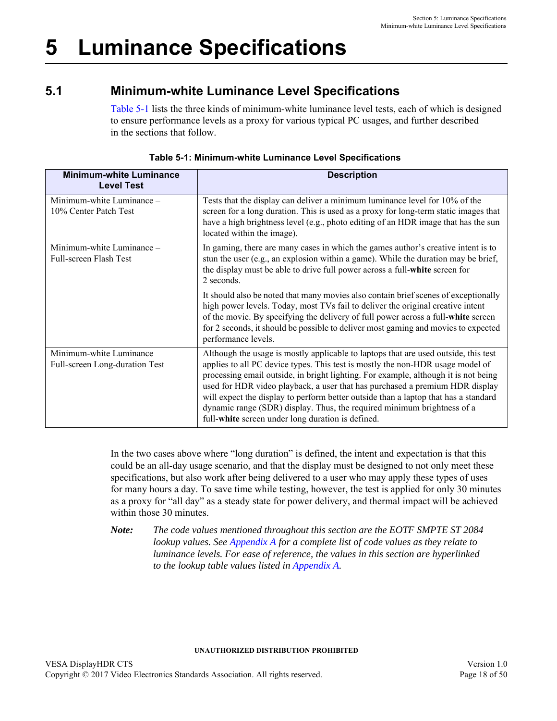# <span id="page-17-3"></span><span id="page-17-0"></span>**5 Luminance Specifications**

# <span id="page-17-1"></span>**5.1 Minimum-white Luminance Level Specifications**

[Table 5-1](#page-17-2) lists the three kinds of minimum-white luminance level tests, each of which is designed to ensure performance levels as a proxy for various typical PC usages, and further described in the sections that follow.

<span id="page-17-2"></span>

| <b>Minimum-white Luminance</b><br><b>Level Test</b>         | <b>Description</b>                                                                                                                                                                                                                                                                                                                                                                                                                                                                                                                                                  |
|-------------------------------------------------------------|---------------------------------------------------------------------------------------------------------------------------------------------------------------------------------------------------------------------------------------------------------------------------------------------------------------------------------------------------------------------------------------------------------------------------------------------------------------------------------------------------------------------------------------------------------------------|
| Minimum-white Luminance -<br>10% Center Patch Test          | Tests that the display can deliver a minimum luminance level for 10% of the<br>screen for a long duration. This is used as a proxy for long-term static images that<br>have a high brightness level (e.g., photo editing of an HDR image that has the sun<br>located within the image).                                                                                                                                                                                                                                                                             |
| Minimum-white Luminance -<br>Full-screen Flash Test         | In gaming, there are many cases in which the games author's creative intent is to<br>stun the user (e.g., an explosion within a game). While the duration may be brief,<br>the display must be able to drive full power across a full-white screen for<br>2 seconds.                                                                                                                                                                                                                                                                                                |
|                                                             | It should also be noted that many movies also contain brief scenes of exceptionally<br>high power levels. Today, most TVs fail to deliver the original creative intent<br>of the movie. By specifying the delivery of full power across a full-white screen<br>for 2 seconds, it should be possible to deliver most gaming and movies to expected<br>performance levels.                                                                                                                                                                                            |
| Minimum-white Luminance -<br>Full-screen Long-duration Test | Although the usage is mostly applicable to laptops that are used outside, this test<br>applies to all PC device types. This test is mostly the non-HDR usage model of<br>processing email outside, in bright lighting. For example, although it is not being<br>used for HDR video playback, a user that has purchased a premium HDR display<br>will expect the display to perform better outside than a laptop that has a standard<br>dynamic range (SDR) display. Thus, the required minimum brightness of a<br>full-white screen under long duration is defined. |

|  | Table 5-1: Minimum-white Luminance Level Specifications |  |  |
|--|---------------------------------------------------------|--|--|
|  |                                                         |  |  |

In the two cases above where "long duration" is defined, the intent and expectation is that this could be an all-day usage scenario, and that the display must be designed to not only meet these specifications, but also work after being delivered to a user who may apply these types of uses for many hours a day. To save time while testing, however, the test is applied for only 30 minutes as a proxy for "all day" as a steady state for power delivery, and thermal impact will be achieved within those 30 minutes.

*Note: The code values mentioned throughout this section are the EOTF SMPTE ST 2084 lookup values. See [Appendix A](#page-36-2) for a complete list of code values as they relate to luminance levels. For ease of reference, the values in this section are hyperlinked to the lookup table values listed in [Appendix A.](#page-36-2)*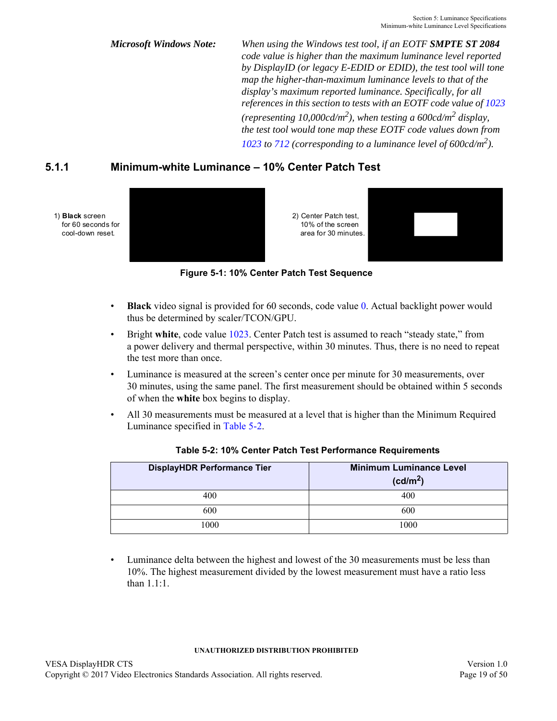*Microsoft Windows Note: When using the Windows test tool, if an EOTF SMPTE ST 2084 code value is higher than the maximum luminance level reported by DisplayID (or legacy E-EDID or EDID), the test tool will tone map the higher-than-maximum luminance levels to that of the display's maximum reported luminance. Specifically, for all references in this section to tests with an EOTF code value of [1023](#page-36-4)* (*representing 10,000cd/m*<sup>2</sup>), when testing a 600cd/m<sup>2</sup> display, *the test tool would tone map these EOTF code values down from*  [1023](#page-36-4) to [712](#page-36-5) (corresponding to a luminance level of  $600 \text{cd/m}^2$ ).

## <span id="page-18-3"></span><span id="page-18-0"></span>**5.1.1 Minimum-white Luminance – 10% Center Patch Test**



**Figure 5-1: 10% Center Patch Test Sequence**

- <span id="page-18-2"></span>• **Black** video signal is provided for 60 seconds, code value [0](#page-36-3). Actual backlight power would thus be determined by scaler/TCON/GPU.
- Bright **white**, code value [1023.](#page-36-4) Center Patch test is assumed to reach "steady state," from a power delivery and thermal perspective, within 30 minutes. Thus, there is no need to repeat the test more than once.
- Luminance is measured at the screen's center once per minute for 30 measurements, over 30 minutes, using the same panel. The first measurement should be obtained within 5 seconds of when the **white** box begins to display.
- All 30 measurements must be measured at a level that is higher than the Minimum Required Luminance specified in [Table 5-2](#page-18-1).

<span id="page-18-1"></span>

| <b>DisplayHDR Performance Tier</b> | <b>Minimum Luminance Level</b><br>(cd/m <sup>2</sup> ) |
|------------------------------------|--------------------------------------------------------|
| 400                                | 400                                                    |
| 600                                | 600                                                    |
| 1000                               | 1000                                                   |

<span id="page-18-6"></span><span id="page-18-5"></span><span id="page-18-4"></span>

| Table 5-2: 10% Center Patch Test Performance Requirements |  |  |  |
|-----------------------------------------------------------|--|--|--|
|-----------------------------------------------------------|--|--|--|

• Luminance delta between the highest and lowest of the 30 measurements must be less than 10%. The highest measurement divided by the lowest measurement must have a ratio less than 1.1:1.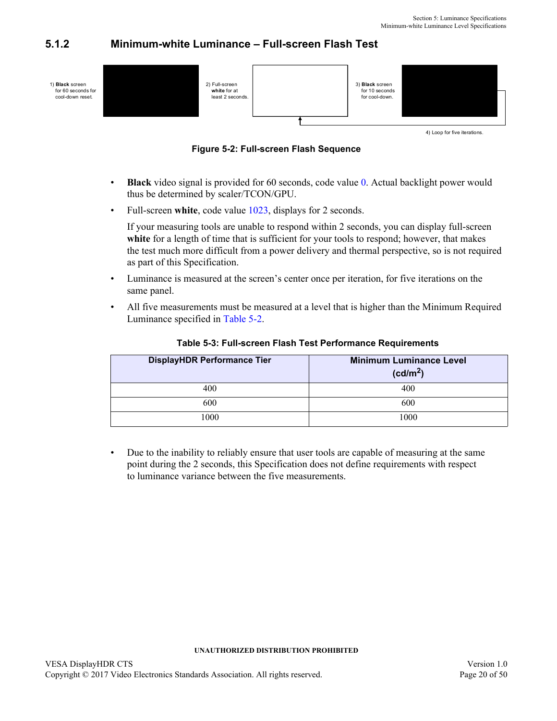## <span id="page-19-3"></span><span id="page-19-0"></span>**5.1.2 Minimum-white Luminance – Full-screen Flash Test**



4) Loop for five iterations.

**Figure 5-2: Full-screen Flash Sequence**

- <span id="page-19-2"></span>**Black** video signal is provided for 6[0](#page-36-3) seconds, code value 0. Actual backlight power would thus be determined by scaler/TCON/GPU.
- Full-screen white, code value [1023](#page-36-4), displays for 2 seconds.

If your measuring tools are unable to respond within 2 seconds, you can display full-screen white for a length of time that is sufficient for your tools to respond; however, that makes the test much more difficult from a power delivery and thermal perspective, so is not required as part of this Specification.

- Luminance is measured at the screen's center once per iteration, for five iterations on the same panel.
- All five measurements must be measured at a level that is higher than the Minimum Required Luminance specified in [Table 5-2.](#page-18-1)

<span id="page-19-1"></span>

| <b>DisplayHDR Performance Tier</b> | <b>Minimum Luminance Level</b><br>(cd/m <sup>2</sup> ) |
|------------------------------------|--------------------------------------------------------|
| 400                                | 400                                                    |
| 600                                | 600                                                    |
| 1000                               | 1000                                                   |

### **Table 5-3: Full-screen Flash Test Performance Requirements**

• Due to the inability to reliably ensure that user tools are capable of measuring at the same point during the 2 seconds, this Specification does not define requirements with respect to luminance variance between the five measurements.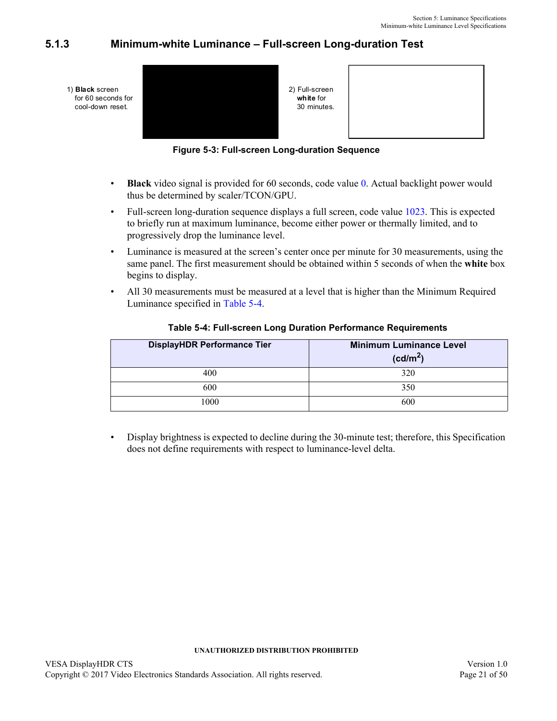## <span id="page-20-0"></span>**5.1.3 Minimum-white Luminance – Full-screen Long-duration Test**

<span id="page-20-3"></span>

**Figure 5-3: Full-screen Long-duration Sequence**

- <span id="page-20-2"></span>• **Black** video signal is provided for 60 seconds, code value [0](#page-36-3). Actual backlight power would thus be determined by scaler/TCON/GPU.
- Full-screen long-duration sequence displays a full screen, code value [1023](#page-36-4). This is expected to briefly run at maximum luminance, become either power or thermally limited, and to progressively drop the luminance level.
- Luminance is measured at the screen's center once per minute for 30 measurements, using the same panel. The first measurement should be obtained within 5 seconds of when the **white** box begins to display.
- All 30 measurements must be measured at a level that is higher than the Minimum Required Luminance specified in [Table 5-4](#page-20-1).

<span id="page-20-1"></span>

| <b>DisplayHDR Performance Tier</b> | <b>Minimum Luminance Level</b><br>(cd/m <sup>2</sup> ) |
|------------------------------------|--------------------------------------------------------|
| 400                                | 320                                                    |
| 600                                | 350                                                    |
| 1000                               | 600                                                    |

### <span id="page-20-6"></span><span id="page-20-5"></span><span id="page-20-4"></span>**Table 5-4: Full-screen Long Duration Performance Requirements**

• Display brightness is expected to decline during the 30-minute test; therefore, this Specification does not define requirements with respect to luminance-level delta.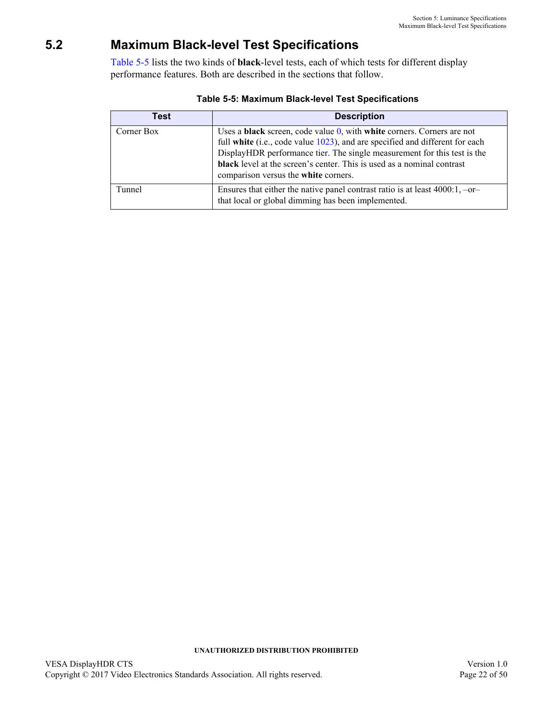# <span id="page-21-0"></span>**5.2 Maximum Black-level Test Specifications**

[Table 5-5](#page-21-1) lists the two kinds of **black**-level tests, each of which tests for different display performance features. Both are described in the sections that follow.

<span id="page-21-1"></span>

| Test       | <b>Description</b>                                                                                                                                                                                                                                                                                                                                                           |
|------------|------------------------------------------------------------------------------------------------------------------------------------------------------------------------------------------------------------------------------------------------------------------------------------------------------------------------------------------------------------------------------|
| Corner Box | Uses a <b>black</b> screen, code value $0$ , with <b>white</b> corners. Corners are not<br>full white (i.e., code value 1023), and are specified and different for each<br>DisplayHDR performance tier. The single measurement for this test is the<br><b>black</b> level at the screen's center. This is used as a nominal contrast<br>comparison versus the white corners. |
| Tunnel     | Ensures that either the native panel contrast ratio is at least $4000:1, -or-$<br>that local or global dimming has been implemented.                                                                                                                                                                                                                                         |

| Table 5-5: Maximum Black-level Test Specifications |  |  |
|----------------------------------------------------|--|--|
|----------------------------------------------------|--|--|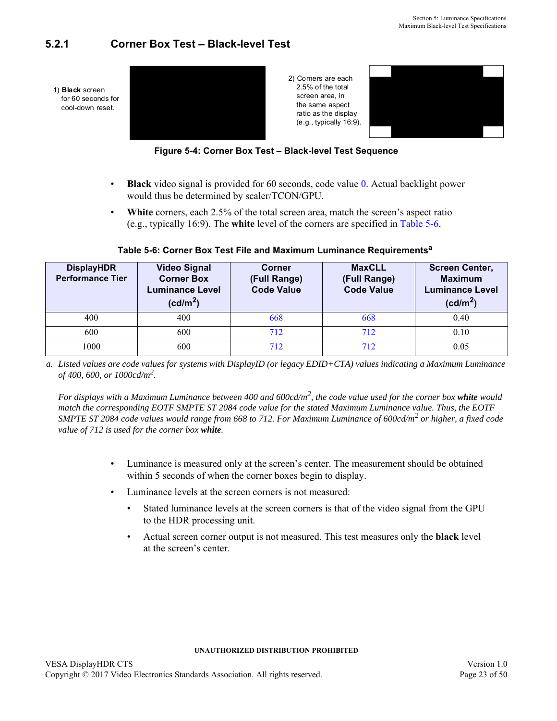## <span id="page-22-3"></span><span id="page-22-0"></span>**5.2.1 Corner Box Test – Black-level Test**



**Figure 5-4: Corner Box Test – Black-level Test Sequence**

- <span id="page-22-2"></span>• **Black** video signal is provided for 60 seconds, code value [0](#page-36-3). Actual backlight power would thus be determined by scaler/TCON/GPU.
- White corners, each 2.5% of the total screen area, match the screen's aspect ratio (e.g., typically 16:9). The **white** level of the corners are specified in [Table 5-6](#page-22-1).

<span id="page-22-1"></span>

| <b>DisplayHDR</b><br><b>Performance Tier</b> | <b>Video Signal</b><br><b>Corner Box</b><br>Luminance Level<br>(cd/m <sup>2</sup> ) | Corner<br>(Full Range)<br><b>Code Value</b> | <b>MaxCLL</b><br>(Full Range)<br><b>Code Value</b> | <b>Screen Center,</b><br><b>Maximum</b><br><b>Luminance Level</b><br>(cd/m <sup>2</sup> ) |
|----------------------------------------------|-------------------------------------------------------------------------------------|---------------------------------------------|----------------------------------------------------|-------------------------------------------------------------------------------------------|
| 400                                          | 400                                                                                 | 668                                         | 668                                                | 0.40                                                                                      |
| 600                                          | 600                                                                                 | 712                                         | 712                                                | 0.10                                                                                      |
| 1000                                         | 600                                                                                 | 712                                         | 712                                                | 0.05                                                                                      |

<span id="page-22-6"></span><span id="page-22-5"></span><span id="page-22-4"></span>**Table 5-6: Corner Box Test File and Maximum Luminance Requirementsa**

*a. Listed values are code values for systems with DisplayID (or legacy EDID+CTA) values indicating a Maximum Luminance of 400, 600, or 1000cd/m<sup>2</sup> .*

For displays with a Maximum Luminance between 400 and 600cd/m<sup>2</sup>, the code value used for the corner box white would *match the corresponding EOTF SMPTE ST 2084 code value for the stated Maximum Luminance value. Thus, the EOTF SMPTE ST 2084 code values would range from [668](#page-36-6) to [712.](#page-36-5) For Maximum Luminance of 600cd/m<sup>2</sup> or higher, a fixed code value of [712](#page-36-5) is used for the corner box white.*

- Luminance is measured only at the screen's center. The measurement should be obtained within 5 seconds of when the corner boxes begin to display.
- Luminance levels at the screen corners is not measured:
	- Stated luminance levels at the screen corners is that of the video signal from the GPU to the HDR processing unit.
	- Actual screen corner output is not measured. This test measures only the **black** level at the screen's center.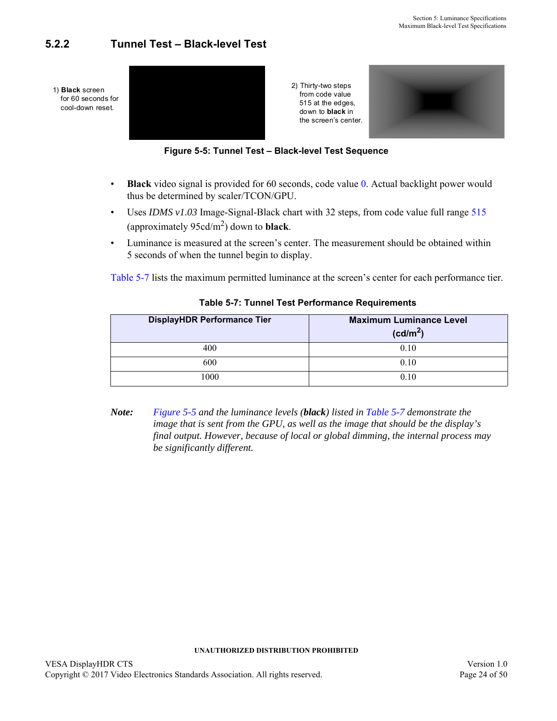## <span id="page-23-3"></span><span id="page-23-0"></span>**5.2.2 Tunnel Test – Black-level Test**





- <span id="page-23-2"></span>• **Black** video signal is provided for 60 seconds, code value [0](#page-36-3). Actual backlight power would thus be determined by scaler/TCON/GPU.
- Uses *IDMS v1.03* Image-Signal-Black chart with 32 steps, from code value full range [515](#page-36-7) (approximately  $95cd/m^2$  $95cd/m^2$ ) down to **black**.
- Luminance is measured at the screen's center. The measurement should be obtained within 5 seconds of when the tunnel begin to display.

[Table 5-7](#page-23-1) lists the maximum permitted luminance at the screen's center for each performance tier.

<span id="page-23-1"></span>

| <b>DisplayHDR Performance Tier</b> | <b>Maximum Luminance Level</b><br>(cd/m <sup>2</sup> ) |
|------------------------------------|--------------------------------------------------------|
| 400                                | 0.10                                                   |
| 600                                | 0.10                                                   |
| 000                                | 0.10                                                   |

### <span id="page-23-6"></span><span id="page-23-5"></span><span id="page-23-4"></span>**Table 5-7: Tunnel Test Performance Requirements**

*Note: [Figure 5-5](#page-23-2) and the luminance levels (black) listed in [Table 5-7](#page-23-1) demonstrate the image that is sent from the GPU, as well as the image that should be the display's final output. However, because of local or global dimming, the internal process may be significantly different.*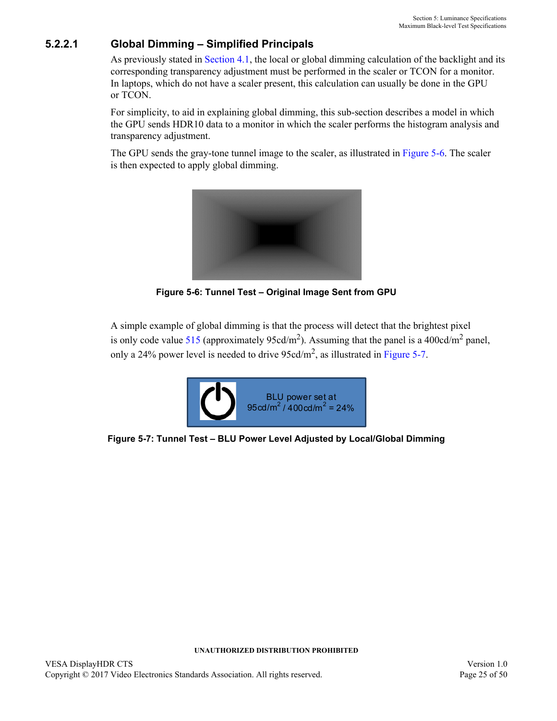## **5.2.2.1 Global Dimming – Simplified Principals**

As previously stated in [Section 4.1](#page-16-4), the local or global dimming calculation of the backlight and its corresponding transparency adjustment must be performed in the scaler or TCON for a monitor. In laptops, which do not have a scaler present, this calculation can usually be done in the GPU or TCON.

For simplicity, to aid in explaining global dimming, this sub-section describes a model in which the GPU sends HDR10 data to a monitor in which the scaler performs the histogram analysis and transparency adjustment.

The GPU sends the gray-tone tunnel image to the scaler, as illustrated in [Figure 5-6.](#page-24-0) The scaler is then expected to apply global dimming.



**Figure 5-6: Tunnel Test – Original Image Sent from GPU**

<span id="page-24-0"></span>A simple example of global dimming is that the process will detect that the brightest pixel is only code value [515](#page-36-7) (approximately [95](#page-36-8)cd/m<sup>2</sup>). Assuming that the panel is a 400cd/m<sup>2</sup> panel, only a 24% power level is needed to drive  $95cd/m^2$ , as illustrated in [Figure 5-7](#page-24-1).

<span id="page-24-1"></span>

**Figure 5-7: Tunnel Test – BLU Power Level Adjusted by Local/Global Dimming**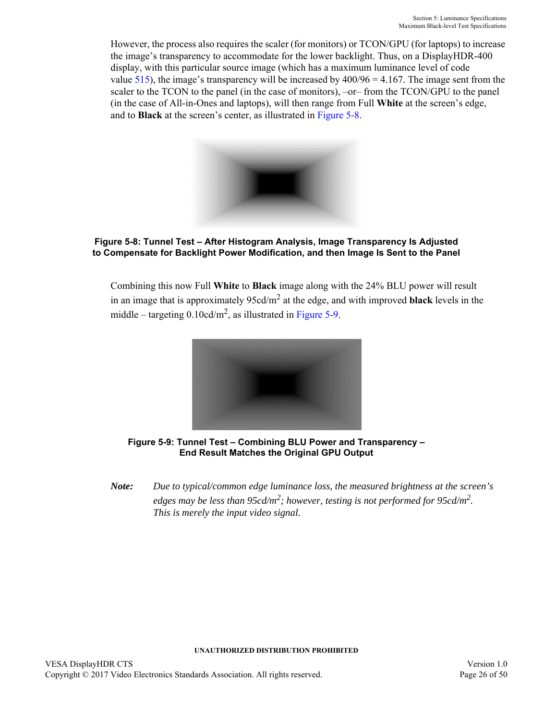However, the process also requires the scaler (for monitors) or TCON/GPU (for laptops) to increase the image's transparency to accommodate for the lower backlight. Thus, on a DisplayHDR-400 display, with this particular source image (which has a maximum luminance level of code value [515\)](#page-36-7), the image's transparency will be increased by  $400/96 = 4.167$ . The image sent from the scaler to the TCON to the panel (in the case of monitors),  $-or$  from the TCON/GPU to the panel (in the case of All-in-Ones and laptops), will then range from Full **White** at the screen's edge, and to **Black** at the screen's center, as illustrated in [Figure 5-8](#page-25-0).



**Figure 5-8: Tunnel Test – After Histogram Analysis, Image Transparency Is Adjusted to Compensate for Backlight Power Modification, and then Image Is Sent to the Panel**

<span id="page-25-0"></span>Combining this now Full **White** to **Black** image along with the 24% BLU power will result in an image that is approximately [95](#page-36-8)cd/m<sup>2</sup> at the edge, and with improved **black** levels in the middle – targeting  $0.10 \text{cd/m}^2$ , as illustrated in [Figure 5-9](#page-25-1).



**Figure 5-9: Tunnel Test – Combining BLU Power and Transparency – End Result Matches the Original GPU Output**

<span id="page-25-1"></span>*Note: Due to typical/common edge luminance loss, the measured brightness at the screen's edges may be less than [95c](#page-36-8)d/m<sup>2</sup> ; however, testing is not performed for [95c](#page-36-8)d/m2 . This is merely the input video signal.*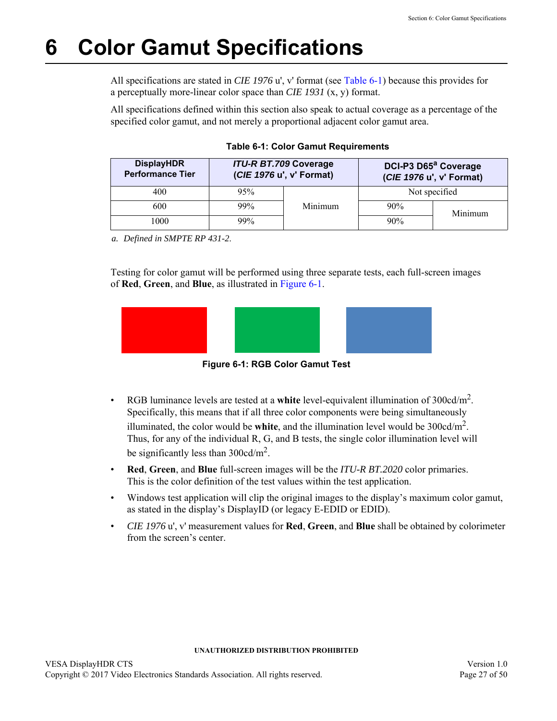# <span id="page-26-3"></span><span id="page-26-0"></span>**6 Color Gamut Specifications**

All specifications are stated in *CIE 1976* u', v' format (see [Table 6-1\)](#page-26-1) because this provides for a perceptually more-linear color space than *CIE 1931* (x, y) format.

All specifications defined within this section also speak to actual coverage as a percentage of the specified color gamut, and not merely a proportional adjacent color gamut area.

<span id="page-26-1"></span>

| <b>DisplayHDR</b><br><b>Performance Tier</b> |     | <b>ITU-R BT.709 Coverage</b><br>DCI-P3 D65ª Coverage<br>(CIE 1976 u', v' Format)<br>(CIE 1976 u', v' Format) |               |         |
|----------------------------------------------|-----|--------------------------------------------------------------------------------------------------------------|---------------|---------|
| 400                                          | 95% |                                                                                                              | Not specified |         |
| 600                                          | 99% | Minimum                                                                                                      | 90%           | Minimum |
| 1000                                         | 99% |                                                                                                              | 90%           |         |

<span id="page-26-7"></span><span id="page-26-6"></span><span id="page-26-5"></span><span id="page-26-4"></span>**Table 6-1: Color Gamut Requirements**

*a. Defined in SMPTE RP 431-2*.

Testing for color gamut will be performed using three separate tests, each full-screen images of **Red**, **Green**, and **Blue**, as illustrated in [Figure 6-1](#page-26-2).



<span id="page-26-8"></span>**Figure 6-1: RGB Color Gamut Test**

- <span id="page-26-2"></span>• RGB luminance levels are tested at a white level-equivalent illumination of 300cd/m<sup>2</sup>. Specifically, this means that if all three color components were being simultaneously illuminated, the color would be **white**, and the illumination level would be  $300 \text{cd/m}^2$ . Thus, for any of the individual R, G, and B tests, the single color illumination level will be significantly less than  $300 \text{cd/m}^2$ .
- **Red**, **Green**, and **Blue** full-screen images will be the *ITU-R BT.2020* color primaries. This is the color definition of the test values within the test application.
- Windows test application will clip the original images to the display's maximum color gamut, as stated in the display's DisplayID (or legacy E-EDID or EDID).
- *CIE 1976* u', v' measurement values for **Red**, **Green**, and **Blue** shall be obtained by colorimeter from the screen's center.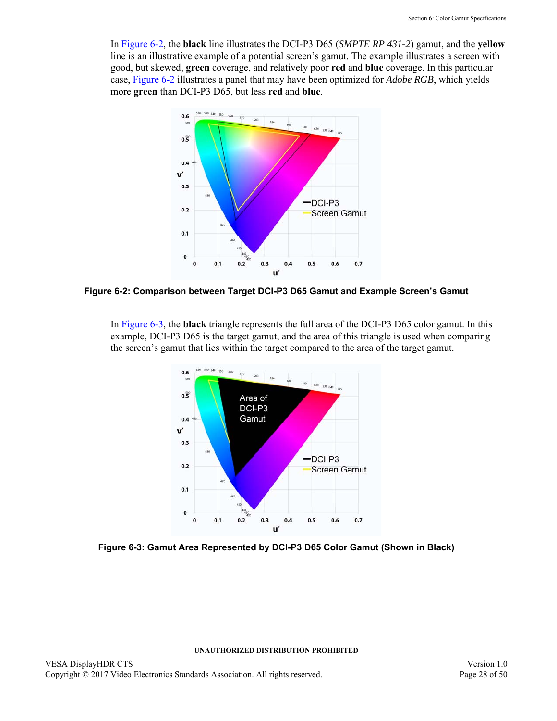In [Figure 6-2,](#page-27-0) the **black** line illustrates the DCI-P3 D65 (*SMPTE RP 431-2*) gamut, and the **yellow** line is an illustrative example of a potential screen's gamut. The example illustrates a screen with good, but skewed, **green** coverage, and relatively poor **red** and **blue** coverage. In this particular case, [Figure 6-2](#page-27-0) illustrates a panel that may have been optimized for *Adobe RGB*, which yields more **green** than DCI-P3 D65, but less **red** and **blue**.



<span id="page-27-0"></span>**Figure 6-2: Comparison between Target DCI-P3 D65 Gamut and Example Screen's Gamut**

In [Figure 6-3,](#page-27-1) the **black** triangle represents the full area of the DCI-P3 D65 color gamut. In this example, DCI-P3 D65 is the target gamut, and the area of this triangle is used when comparing the screen's gamut that lies within the target compared to the area of the target gamut.



<span id="page-27-1"></span>**Figure 6-3: Gamut Area Represented by DCI-P3 D65 Color Gamut (Shown in Black)**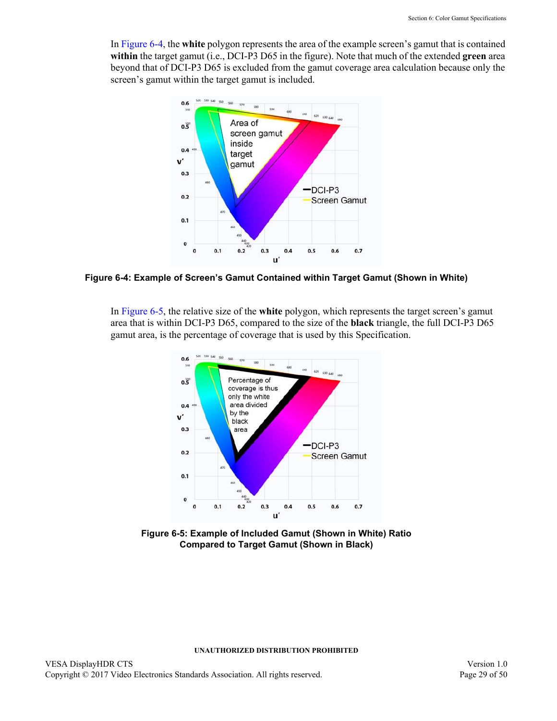In [Figure 6-4](#page-28-0), the **white** polygon represents the area of the example screen's gamut that is contained **within** the target gamut (i.e., DCI-P3 D65 in the figure). Note that much of the extended **green** area beyond that of DCI-P3 D65 is excluded from the gamut coverage area calculation because only the screen's gamut within the target gamut is included.



<span id="page-28-0"></span>**Figure 6-4: Example of Screen's Gamut Contained within Target Gamut (Shown in White)**

In [Figure 6-5,](#page-28-1) the relative size of the **white** polygon, which represents the target screen's gamut area that is within DCI-P3 D65, compared to the size of the **black** triangle, the full DCI-P3 D65 gamut area, is the percentage of coverage that is used by this Specification.



<span id="page-28-1"></span>**Figure 6-5: Example of Included Gamut (Shown in White) Ratio Compared to Target Gamut (Shown in Black)**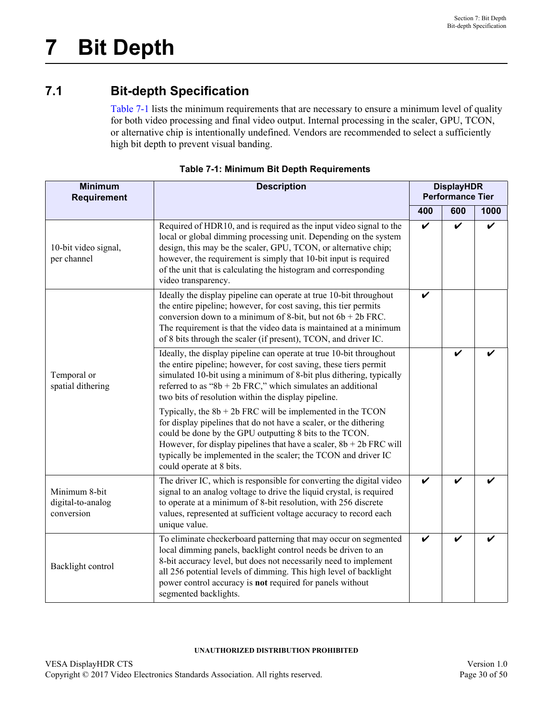# <span id="page-29-0"></span>**7 Bit Depth**

# <span id="page-29-1"></span>**7.1 Bit-depth Specification**

<span id="page-29-3"></span>[Table 7-1](#page-29-2) lists the minimum requirements that are necessary to ensure a minimum level of quality for both video processing and final video output. Internal processing in the scaler, GPU, TCON, or alternative chip is intentionally undefined. Vendors are recommended to select a sufficiently high bit depth to prevent visual banding.

<span id="page-29-2"></span>

| <b>Minimum</b><br><b>Requirement</b>             | <b>Description</b>                                                                                                                                                                                                                                                                                                                                                       |     | <b>DisplayHDR</b><br><b>Performance Tier</b> |      |  |
|--------------------------------------------------|--------------------------------------------------------------------------------------------------------------------------------------------------------------------------------------------------------------------------------------------------------------------------------------------------------------------------------------------------------------------------|-----|----------------------------------------------|------|--|
|                                                  |                                                                                                                                                                                                                                                                                                                                                                          | 400 | 600                                          | 1000 |  |
| 10-bit video signal,<br>per channel              | Required of HDR10, and is required as the input video signal to the<br>local or global dimming processing unit. Depending on the system<br>design, this may be the scaler, GPU, TCON, or alternative chip;<br>however, the requirement is simply that 10-bit input is required<br>of the unit that is calculating the histogram and corresponding<br>video transparency. | V   | V                                            | ✔    |  |
|                                                  | Ideally the display pipeline can operate at true 10-bit throughout<br>the entire pipeline; however, for cost saving, this tier permits<br>conversion down to a minimum of 8-bit, but not $6b + 2b$ FRC.<br>The requirement is that the video data is maintained at a minimum<br>of 8 bits through the scaler (if present), TCON, and driver IC.                          | V   |                                              |      |  |
| Temporal or<br>spatial dithering                 | Ideally, the display pipeline can operate at true 10-bit throughout<br>the entire pipeline; however, for cost saving, these tiers permit<br>simulated 10-bit using a minimum of 8-bit plus dithering, typically<br>referred to as "8b + 2b FRC," which simulates an additional<br>two bits of resolution within the display pipeline.                                    |     | V                                            |      |  |
|                                                  | Typically, the $8b + 2b$ FRC will be implemented in the TCON<br>for display pipelines that do not have a scaler, or the dithering<br>could be done by the GPU outputting 8 bits to the TCON.<br>However, for display pipelines that have a scaler, $8b + 2b$ FRC will<br>typically be implemented in the scaler; the TCON and driver IC<br>could operate at 8 bits.      |     |                                              |      |  |
| Minimum 8-bit<br>digital-to-analog<br>conversion | The driver IC, which is responsible for converting the digital video<br>signal to an analog voltage to drive the liquid crystal, is required<br>to operate at a minimum of 8-bit resolution, with 256 discrete<br>values, represented at sufficient voltage accuracy to record each<br>unique value.                                                                     | V   |                                              |      |  |
| Backlight control                                | To eliminate checkerboard patterning that may occur on segmented<br>local dimming panels, backlight control needs be driven to an<br>8-bit accuracy level, but does not necessarily need to implement<br>all 256 potential levels of dimming. This high level of backlight<br>power control accuracy is not required for panels without<br>segmented backlights.         | V   |                                              |      |  |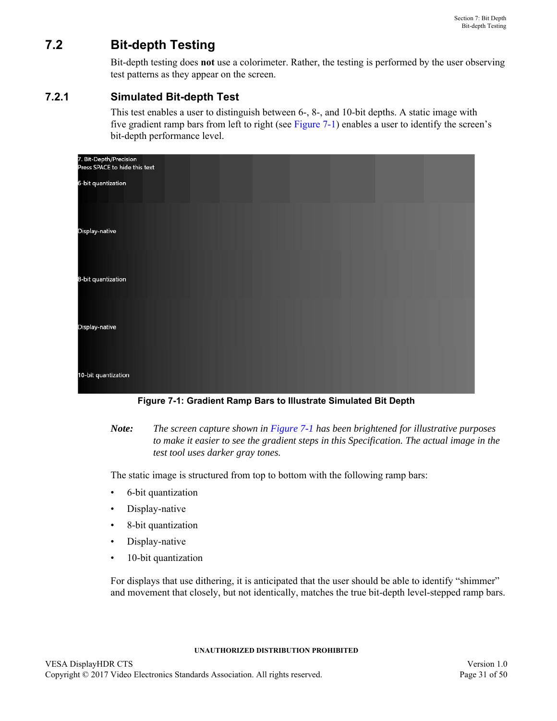# <span id="page-30-0"></span>**7.2 Bit-depth Testing**

Bit-depth testing does **not** use a colorimeter. Rather, the testing is performed by the user observing test patterns as they appear on the screen.

## <span id="page-30-1"></span>**7.2.1 Simulated Bit-depth Test**

This test enables a user to distinguish between 6-, 8-, and 10-bit depths. A static image with five gradient ramp bars from left to right (see [Figure 7-1](#page-30-2)) enables a user to identify the screen's bit-depth performance level.

| 7. Bit-Depth/Precision<br>Press SPACE to hide this text |  |  |
|---------------------------------------------------------|--|--|
| 6-bit quantization                                      |  |  |
|                                                         |  |  |
| Display-native                                          |  |  |
| 8-bit quantization                                      |  |  |
| Display-native                                          |  |  |
| 10-bit quantization                                     |  |  |

**Figure 7-1: Gradient Ramp Bars to Illustrate Simulated Bit Depth**

<span id="page-30-2"></span>*Note: The screen capture shown in [Figure 7-1](#page-30-2) has been brightened for illustrative purposes to make it easier to see the gradient steps in this Specification. The actual image in the test tool uses darker gray tones.*

The static image is structured from top to bottom with the following ramp bars:

- 6-bit quantization
- Display-native
- 8-bit quantization
- Display-native
- 10-bit quantization

For displays that use dithering, it is anticipated that the user should be able to identify "shimmer" and movement that closely, but not identically, matches the true bit-depth level-stepped ramp bars.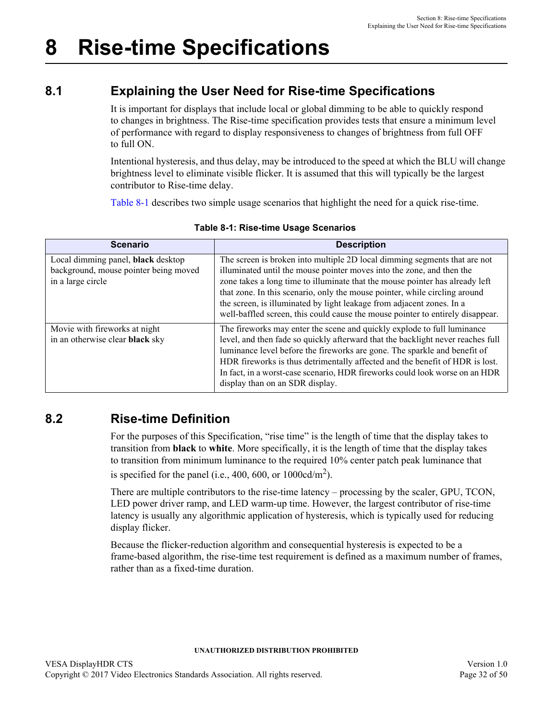# <span id="page-31-4"></span><span id="page-31-0"></span>**8 Rise-time Specifications**

# <span id="page-31-1"></span>**8.1 Explaining the User Need for Rise-time Specifications**

It is important for displays that include local or global dimming to be able to quickly respond to changes in brightness. The Rise-time specification provides tests that ensure a minimum level of performance with regard to display responsiveness to changes of brightness from full OFF to full ON.

Intentional hysteresis, and thus delay, may be introduced to the speed at which the BLU will change brightness level to eliminate visible flicker. It is assumed that this will typically be the largest contributor to Rise-time delay.

[Table 8-1](#page-31-3) describes two simple usage scenarios that highlight the need for a quick rise-time.

<span id="page-31-3"></span>

| <b>Scenario</b>                                                                                  | <b>Description</b>                                                                                                                                                                                                                                                                                                                                                                                                                                                          |
|--------------------------------------------------------------------------------------------------|-----------------------------------------------------------------------------------------------------------------------------------------------------------------------------------------------------------------------------------------------------------------------------------------------------------------------------------------------------------------------------------------------------------------------------------------------------------------------------|
| Local dimming panel, black desktop<br>background, mouse pointer being moved<br>in a large circle | The screen is broken into multiple 2D local dimming segments that are not<br>illuminated until the mouse pointer moves into the zone, and then the<br>zone takes a long time to illuminate that the mouse pointer has already left<br>that zone. In this scenario, only the mouse pointer, while circling around<br>the screen, is illuminated by light leakage from adjacent zones. In a<br>well-baffled screen, this could cause the mouse pointer to entirely disappear. |
| Movie with fireworks at night<br>in an otherwise clear black sky                                 | The fireworks may enter the scene and quickly explode to full luminance<br>level, and then fade so quickly afterward that the backlight never reaches full<br>luminance level before the fireworks are gone. The sparkle and benefit of<br>HDR fireworks is thus detrimentally affected and the benefit of HDR is lost.<br>In fact, in a worst-case scenario, HDR fireworks could look worse on an HDR<br>display than on an SDR display.                                   |

## **Table 8-1: Rise-time Usage Scenarios**

# <span id="page-31-2"></span>**8.2 Rise-time Definition**

For the purposes of this Specification, "rise time" is the length of time that the display takes to transition from **black** to **white**. More specifically, it is the length of time that the display takes to transition from minimum luminance to the required 10% center patch peak luminance that is specified for the panel (i.e., 400, 600, or  $1000 \text{cd/m}^2$ ).

There are multiple contributors to the rise-time latency – processing by the scaler, GPU, TCON, LED power driver ramp, and LED warm-up time. However, the largest contributor of rise-time latency is usually any algorithmic application of hysteresis, which is typically used for reducing display flicker.

Because the flicker-reduction algorithm and consequential hysteresis is expected to be a frame-based algorithm, the rise-time test requirement is defined as a maximum number of frames, rather than as a fixed-time duration.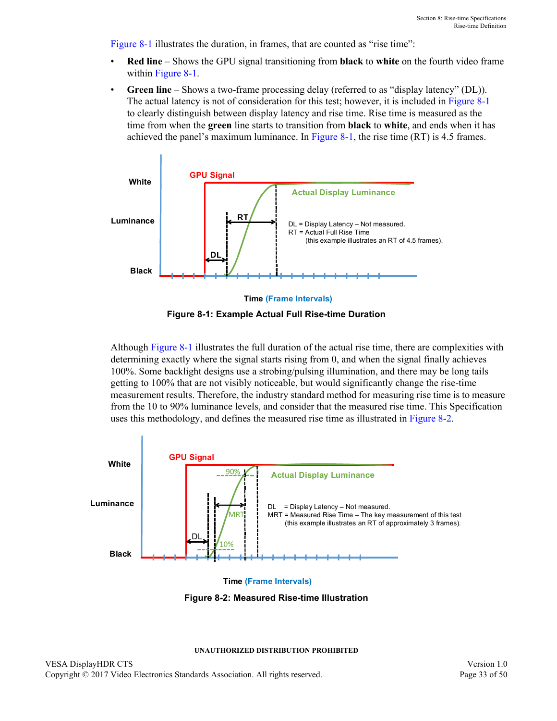[Figure 8-1](#page-32-0) illustrates the duration, in frames, that are counted as "rise time":

- **Red line** Shows the GPU signal transitioning from **black** to **white** on the fourth video frame within [Figure 8-1.](#page-32-0)
- Green line Shows a two-frame processing delay (referred to as "display latency" (DL)). The actual latency is not of consideration for this test; however, it is included in [Figure 8-1](#page-32-0) to clearly distinguish between display latency and rise time. Rise time is measured as the time from when the **green** line starts to transition from **black** to **white**, and ends when it has achieved the panel's maximum luminance. In [Figure 8-1,](#page-32-0) the rise time (RT) is 4.5 frames.





<span id="page-32-0"></span>Although [Figure 8-1](#page-32-0) illustrates the full duration of the actual rise time, there are complexities with determining exactly where the signal starts rising from 0, and when the signal finally achieves 100%. Some backlight designs use a strobing/pulsing illumination, and there may be long tails getting to 100% that are not visibly noticeable, but would significantly change the rise-time measurement results. Therefore, the industry standard method for measuring rise time is to measure from the 10 to 90% luminance levels, and consider that the measured rise time. This Specification uses this methodology, and defines the measured rise time as illustrated in [Figure 8-2](#page-32-1).



**Time (Frame Intervals)**

<span id="page-32-1"></span>**Figure 8-2: Measured Rise-time Illustration**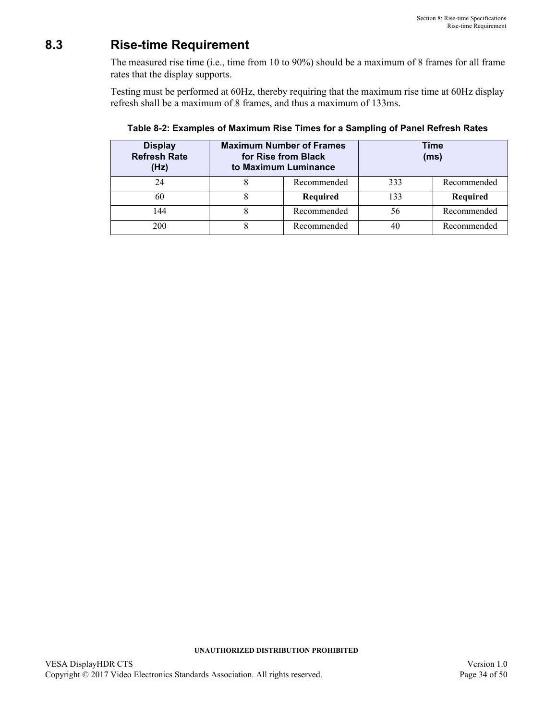## <span id="page-33-0"></span>**8.3 Rise-time Requirement**

The measured rise time (i.e., time from 10 to 90%) should be a maximum of [8](#page-33-2) frames for all frame rates that the display supports.

Testing must be performed at [60H](#page-33-4)z, thereby requiring that the maximum rise time at [60](#page-33-4)Hz display refresh shall be a maximum of [8](#page-33-2) frames, and thus a maximum of [133m](#page-33-3)s.

<span id="page-33-4"></span>

| <b>Display</b><br><b>Refresh Rate</b><br>(Hz) | <b>Maximum Number of Frames</b><br>for Rise from Black<br>to Maximum Luminance |             |     | Time<br>(ms) |
|-----------------------------------------------|--------------------------------------------------------------------------------|-------------|-----|--------------|
| 24                                            |                                                                                | Recommended | 333 | Recommended  |
| 60                                            |                                                                                | Required    | 133 | Required     |
| 144                                           |                                                                                | Recommended | 56  | Recommended  |
| 200                                           |                                                                                | Recommended | 40  | Recommended  |

<span id="page-33-3"></span><span id="page-33-2"></span><span id="page-33-1"></span>**Table 8-2: Examples of Maximum Rise Times for a Sampling of Panel Refresh Rates**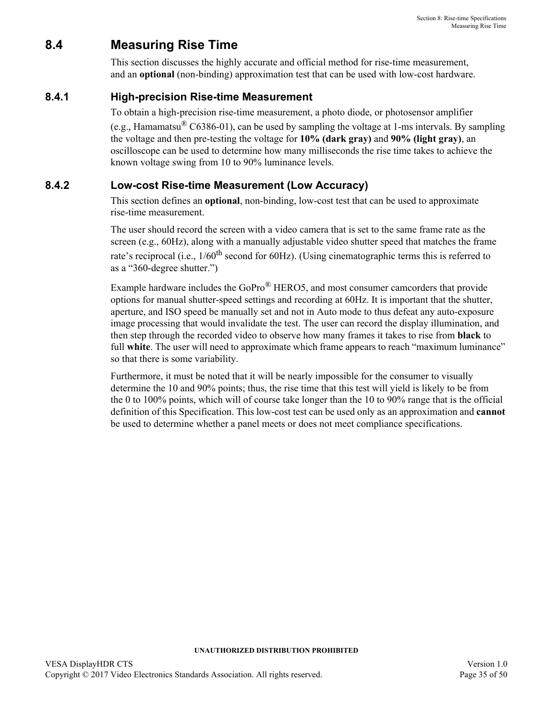# <span id="page-34-0"></span>**8.4 Measuring Rise Time**

This section discusses the highly accurate and official method for rise-time measurement, and an **optional** (non-binding) approximation test that can be used with low-cost hardware.

## <span id="page-34-1"></span>**8.4.1 High-precision Rise-time Measurement**

To obtain a high-precision rise-time measurement, a photo diode, or photosensor amplifier

(e.g., Hamamatsu<sup>®</sup> C6386-01), can be used by sampling the voltage at 1-ms intervals. By sampling the voltage and then pre-testing the voltage for **10% (dark gray)** and **90% (light gray)**, an oscilloscope can be used to determine how many milliseconds the rise time takes to achieve the known voltage swing from 10 to 90% luminance levels.

## <span id="page-34-2"></span>**8.4.2 Low-cost Rise-time Measurement (Low Accuracy)**

This section defines an **optional**, non-binding, low-cost test that can be used to approximate rise-time measurement.

The user should record the screen with a video camera that is set to the same frame rate as the screen (e.g., [60H](#page-33-4)z), along with a manually adjustable video shutter speed that matches the frame rate's reciprocal (i.e.,  $1/60$ <sup>th</sup> second for [60H](#page-33-4)z). (Using cinematographic terms this is referred to as a "360-degree shutter.")

Example hardware includes the GoPro<sup>®</sup> HERO5, and most consumer camcorders that provide options for manual shutter-speed settings and recording at [60](#page-33-4)Hz. It is important that the shutter, aperture, and ISO speed be manually set and not in Auto mode to thus defeat any auto-exposure image processing that would invalidate the test. The user can record the display illumination, and then step through the recorded video to observe how many frames it takes to rise from **black** to full **white**. The user will need to approximate which frame appears to reach "maximum luminance" so that there is some variability.

Furthermore, it must be noted that it will be nearly impossible for the consumer to visually determine the 10 and 90% points; thus, the rise time that this test will yield is likely to be from the 0 to 100% points, which will of course take longer than the 10 to 90% range that is the official definition of this Specification. This low-cost test can be used only as an approximation and **cannot** be used to determine whether a panel meets or does not meet compliance specifications.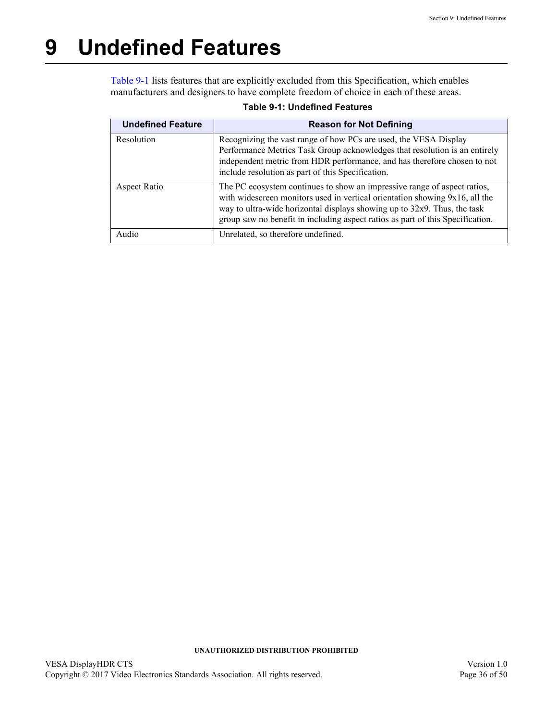# <span id="page-35-2"></span><span id="page-35-0"></span>**9 Undefined Features**

[Table 9-1](#page-35-1) lists features that are explicitly excluded from this Specification, which enables manufacturers and designers to have complete freedom of choice in each of these areas.

<span id="page-35-1"></span>

| <b>Undefined Feature</b> | <b>Reason for Not Defining</b>                                                                                                                                                                                                                                                                                        |
|--------------------------|-----------------------------------------------------------------------------------------------------------------------------------------------------------------------------------------------------------------------------------------------------------------------------------------------------------------------|
| Resolution               | Recognizing the vast range of how PCs are used, the VESA Display<br>Performance Metrics Task Group acknowledges that resolution is an entirely<br>independent metric from HDR performance, and has therefore chosen to not<br>include resolution as part of this Specification.                                       |
| Aspect Ratio             | The PC ecosystem continues to show an impressive range of aspect ratios,<br>with widescreen monitors used in vertical orientation showing 9x16, all the<br>way to ultra-wide horizontal displays showing up to 32x9. Thus, the task<br>group saw no benefit in including aspect ratios as part of this Specification. |
| Audio                    | Unrelated, so therefore undefined.                                                                                                                                                                                                                                                                                    |

#### **Table 9-1: [Undefined Features](#page-35-0)**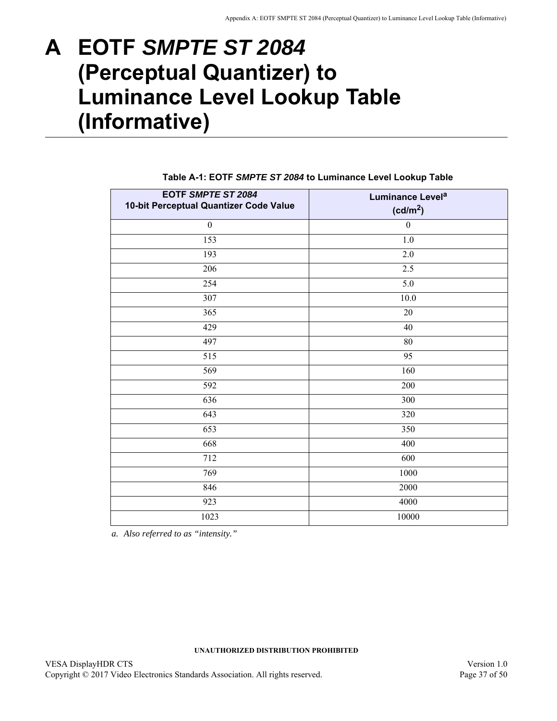# <span id="page-36-2"></span><span id="page-36-0"></span>**A EOTF** *SMPTE ST 2084* **(Perceptual Quantizer) to Luminance Level Lookup Table (Informative)**

<span id="page-36-1"></span>

| EOTF SMPTE ST 2084<br>10-bit Perceptual Quantizer Code Value | Luminance Level <sup>a</sup><br>(cd/m <sup>2</sup> ) |
|--------------------------------------------------------------|------------------------------------------------------|
| $\boldsymbol{0}$                                             | $\boldsymbol{0}$                                     |
| 153                                                          | $1.0\,$                                              |
| 193                                                          | $2.0\,$                                              |
| 206                                                          | 2.5                                                  |
| 254                                                          | 5.0                                                  |
| 307                                                          | 10.0                                                 |
| 365                                                          | 20                                                   |
| 429                                                          | 40                                                   |
| 497                                                          | 80                                                   |
| 515                                                          | 95                                                   |
| 569                                                          | 160                                                  |
| 592                                                          | 200                                                  |
| 636                                                          | 300                                                  |
| 643                                                          | 320                                                  |
| 653                                                          | 350                                                  |
| 668                                                          | 400                                                  |
| 712                                                          | 600                                                  |
| 769                                                          | 1000                                                 |
| 846                                                          | 2000                                                 |
| 923                                                          | 4000                                                 |
| 1023                                                         | $10000\,$                                            |

### <span id="page-36-8"></span><span id="page-36-7"></span><span id="page-36-3"></span>**Table A-1: EOTF** *SMPTE ST 2084* **to Luminance Level Lookup Table**

<span id="page-36-6"></span><span id="page-36-5"></span><span id="page-36-4"></span>*a. Also referred to as "intensity."*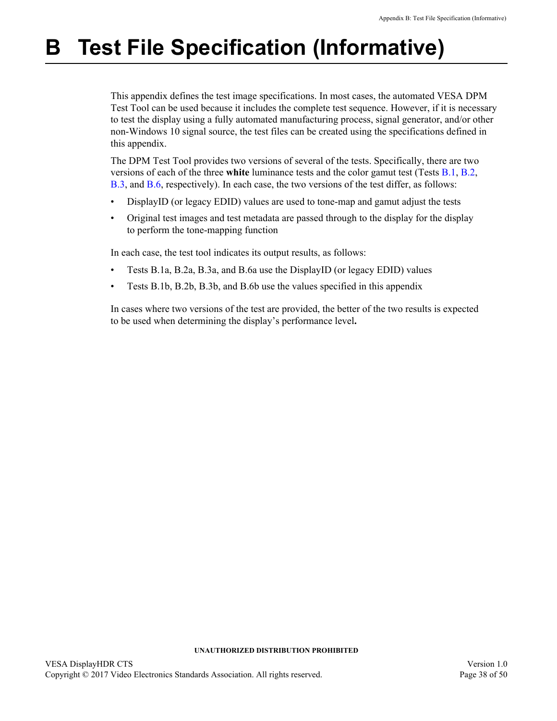# <span id="page-37-1"></span><span id="page-37-0"></span>**B Test File Specification (Informative)**

This appendix defines the test image specifications. In most cases, the automated VESA DPM Test Tool can be used because it includes the complete test sequence. However, if it is necessary to test the display using a fully automated manufacturing process, signal generator, and/or other non-Windows 10 signal source, the test files can be created using the specifications defined in this appendix.

The DPM Test Tool provides two versions of several of the tests. Specifically, there are two versions of each of the three **white** luminance tests and the color gamut test (Tests [B.1](#page-38-0), [B.2](#page-38-1), [B.3](#page-38-2), and [B.6,](#page-41-0) respectively). In each case, the two versions of the test differ, as follows:

- DisplayID (or legacy EDID) values are used to tone-map and gamut adjust the tests
- Original test images and test metadata are passed through to the display for the display to perform the tone-mapping function

In each case, the test tool indicates its output results, as follows:

- Tests [B.1](#page-38-0)a, [B.2](#page-38-1)a, [B.3](#page-38-2)a, and [B.6a](#page-41-0) use the DisplayID (or legacy EDID) values
- Tests [B.1](#page-38-0)b, [B.2b](#page-38-1), [B.3](#page-38-2)b, and [B.6](#page-41-0)b use the values specified in this appendix

In cases where two versions of the test are provided, the better of the two results is expected to be used when determining the display's performance level**.**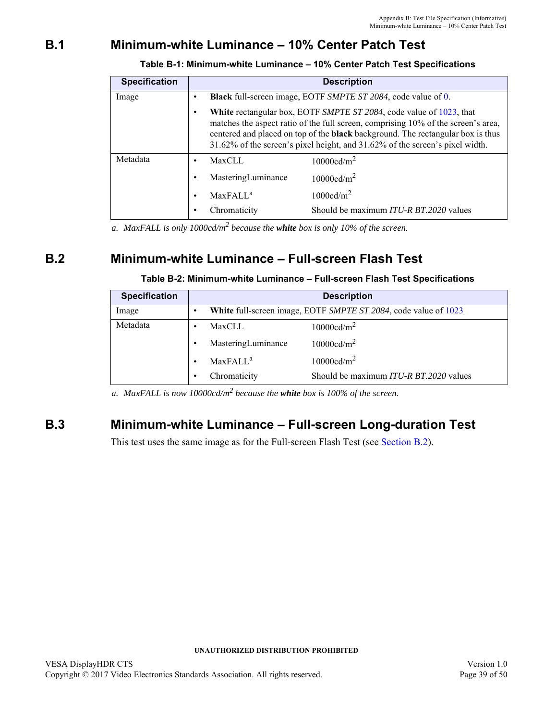# <span id="page-38-0"></span>**B.1 [Minimum-white Luminance – 10% Center Patch Test](#page-18-3)**

<span id="page-38-3"></span>

| <b>Specification</b> | <b>Description</b>                                                                                                                                                                                                                                                                                                                        |  |  |
|----------------------|-------------------------------------------------------------------------------------------------------------------------------------------------------------------------------------------------------------------------------------------------------------------------------------------------------------------------------------------|--|--|
| Image                | <b>Black</b> full-screen image, EOTF SMPTE ST 2084, code value of 0.                                                                                                                                                                                                                                                                      |  |  |
|                      | <b>White</b> rectangular box, EOTF SMPTE ST 2084, code value of 1023, that<br>matches the aspect ratio of the full screen, comprising 10% of the screen's area,<br>centered and placed on top of the <b>black</b> background. The rectangular box is thus<br>31.62% of the screen's pixel height, and 31.62% of the screen's pixel width. |  |  |
| Metadata             | 10000cd/m <sup>2</sup><br><b>MaxCLL</b><br>٠                                                                                                                                                                                                                                                                                              |  |  |
|                      | 10000cd/m <sup>2</sup><br>MasteringLuminance<br>٠                                                                                                                                                                                                                                                                                         |  |  |
|                      | 1000cd/m <sup>2</sup><br><b>MaxFALL<sup>a</sup></b><br>٠                                                                                                                                                                                                                                                                                  |  |  |
|                      | Should be maximum ITU-R BT.2020 values<br>Chromaticity                                                                                                                                                                                                                                                                                    |  |  |

**Table B-1: [Minimum-white Luminance – 10% Center Patch Test](#page-38-0) Specifications**

*a. MaxFALL is only 1000cd/m<sup>2</sup> because the white box is only 10% of the screen.*

## <span id="page-38-1"></span>**B.2 [Minimum-white Luminance – Full-screen Flash Test](#page-19-3)**

### **Table B-2: [Minimum-white Luminance – Full-screen Flash Test](#page-38-1) Specifications**

<span id="page-38-4"></span>

| <b>Specification</b> | <b>Description</b>                                              |
|----------------------|-----------------------------------------------------------------|
| Image                | White full-screen image, EOTF SMPTE ST 2084, code value of 1023 |
| Metadata             | 10000cd/m <sup>2</sup><br><b>MaxCLL</b>                         |
|                      | MasteringLuminance<br>$10000 \text{cd/m}^2$                     |
|                      | $10000 \text{cd/m}^2$<br>MaxFAIL <sup>a</sup>                   |
|                      | Should be maximum ITU-R BT.2020 values<br>Chromaticity          |

*a. MaxFALL is now 10000cd/m<sup>2</sup> because the white box is 100% of the screen.*

## <span id="page-38-2"></span>**B.3 [Minimum-white Luminance – Full-screen Long-duration Test](#page-20-3)**

This test uses the same image as for the Full-screen Flash Test (see [Section B.2](#page-38-1)).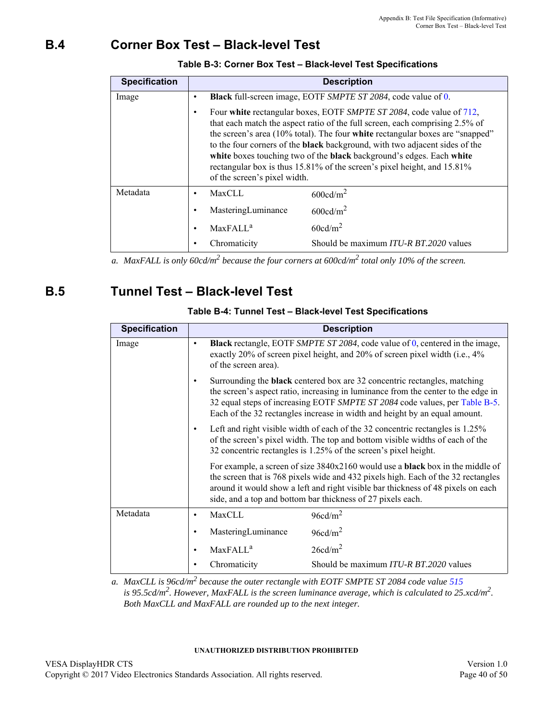# <span id="page-39-0"></span>**B.4 [Corner Box Test – Black-level Test](#page-22-3)**

<span id="page-39-2"></span>

| <b>Specification</b> | <b>Description</b>                                                                                                                                                                                                                                                                                                                                                                                                                                                                                             |  |  |
|----------------------|----------------------------------------------------------------------------------------------------------------------------------------------------------------------------------------------------------------------------------------------------------------------------------------------------------------------------------------------------------------------------------------------------------------------------------------------------------------------------------------------------------------|--|--|
| Image                | <b>Black</b> full-screen image, EOTF SMPTE ST 2084, code value of 0.                                                                                                                                                                                                                                                                                                                                                                                                                                           |  |  |
|                      | Four white rectangular boxes, EOTF SMPTE ST 2084, code value of 712,<br>that each match the aspect ratio of the full screen, each comprising 2.5% of<br>the screen's area (10% total). The four white rectangular boxes are "snapped"<br>to the four corners of the <b>black</b> background, with two adjacent sides of the<br>white boxes touching two of the black background's edges. Each white<br>rectangular box is thus 15.81% of the screen's pixel height, and 15.81%<br>of the screen's pixel width. |  |  |
| Metadata             | <b>MaxCLL</b><br>$600 \text{cd/m}^2$                                                                                                                                                                                                                                                                                                                                                                                                                                                                           |  |  |
|                      | $600 \text{cd/m}^2$<br>MasteringLuminance                                                                                                                                                                                                                                                                                                                                                                                                                                                                      |  |  |
|                      | 60cd/m <sup>2</sup><br>MaxFAIL <sup>a</sup>                                                                                                                                                                                                                                                                                                                                                                                                                                                                    |  |  |
|                      | Should be maximum ITU-R BT.2020 values<br>Chromaticity                                                                                                                                                                                                                                                                                                                                                                                                                                                         |  |  |

### **Table B-3: [Corner Box Test – Black-level Test](#page-39-0) Specifications**

*a. MaxFALL is only 60cd/m2 because the four corners at 600cd/m2 total only 10% of the screen.*

## <span id="page-39-1"></span>**B.5 [Tunnel Test – Black-level Test](#page-23-3)**

<span id="page-39-3"></span>

| <b>Specification</b> | <b>Description</b>                                                                                                                                                                                                                                                                                                                              |  |  |
|----------------------|-------------------------------------------------------------------------------------------------------------------------------------------------------------------------------------------------------------------------------------------------------------------------------------------------------------------------------------------------|--|--|
| Image                | <b>Black</b> rectangle, EOTF SMPTE ST 2084, code value of $0$ , centered in the image,<br>$\bullet$<br>exactly 20% of screen pixel height, and 20% of screen pixel width (i.e., 4%<br>of the screen area).                                                                                                                                      |  |  |
|                      | Surrounding the <b>black</b> centered box are 32 concentric rectangles, matching<br>$\bullet$<br>the screen's aspect ratio, increasing in luminance from the center to the edge in<br>32 equal steps of increasing EOTF SMPTE ST 2084 code values, per Table B-5.<br>Each of the 32 rectangles increase in width and height by an equal amount. |  |  |
|                      | Left and right visible width of each of the 32 concentric rectangles is 1.25%<br>$\bullet$<br>of the screen's pixel width. The top and bottom visible widths of each of the<br>32 concentric rectangles is 1.25% of the screen's pixel height.                                                                                                  |  |  |
|                      | For example, a screen of size 3840x2160 would use a <b>black</b> box in the middle of<br>the screen that is 768 pixels wide and 432 pixels high. Each of the 32 rectangles<br>around it would show a left and right visible bar thickness of 48 pixels on each<br>side, and a top and bottom bar thickness of 27 pixels each.                   |  |  |
| Metadata             | <b>MaxCLL</b><br>96cd/m <sup>2</sup><br>$\bullet$                                                                                                                                                                                                                                                                                               |  |  |
|                      | 96cd/m <sup>2</sup><br>MasteringLuminance<br>$\bullet$                                                                                                                                                                                                                                                                                          |  |  |
|                      | 26cd/m <sup>2</sup><br>MaxFALL <sup>a</sup><br>$\bullet$                                                                                                                                                                                                                                                                                        |  |  |
|                      | Should be maximum ITU-R BT.2020 values<br>Chromaticity                                                                                                                                                                                                                                                                                          |  |  |

### **Table B-4: [Tunnel Test – Black-level Test](#page-39-1) Specifications**

*a. MaxCLL is 96cd/m2 because the outer rectangle with EOTF SMPTE ST 2084 code value [515](#page-36-7) is 95.5cd/m2. However, MaxFALL is the screen luminance average, which is calculated to 25.xcd/m2. Both MaxCLL and MaxFALL are rounded up to the next integer.*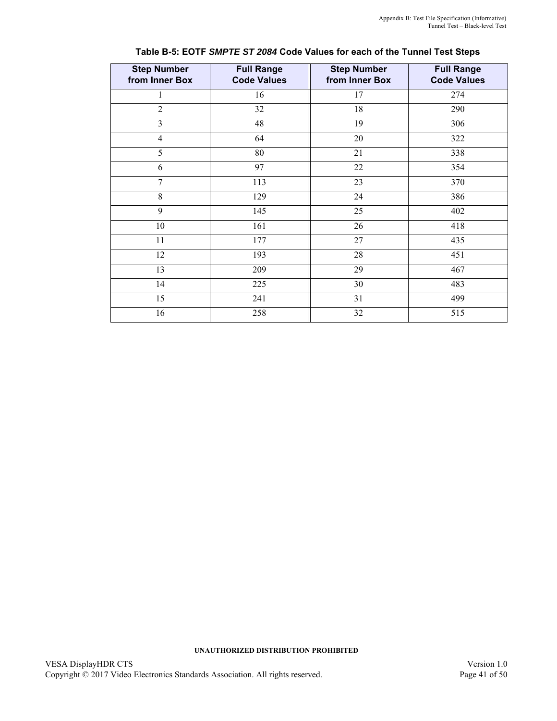<span id="page-40-0"></span>

| <b>Step Number</b><br>from Inner Box | <b>Full Range</b><br><b>Code Values</b> | <b>Step Number</b><br>from Inner Box | <b>Full Range</b><br><b>Code Values</b> |
|--------------------------------------|-----------------------------------------|--------------------------------------|-----------------------------------------|
| 1                                    | 16                                      | 17                                   | 274                                     |
| $\overline{2}$                       | 32                                      | 18                                   | 290                                     |
| 3                                    | 48                                      | 19                                   | 306                                     |
| $\overline{4}$                       | 64                                      | 20                                   | 322                                     |
| 5                                    | 80                                      | 21                                   | 338                                     |
| 6                                    | 97                                      | 22                                   | 354                                     |
| 7                                    | 113                                     | 23                                   | 370                                     |
| 8                                    | 129                                     | 24                                   | 386                                     |
| 9                                    | 145                                     | 25                                   | 402                                     |
| 10                                   | 161                                     | 26                                   | 418                                     |
| 11                                   | 177                                     | $27\,$                               | 435                                     |
| 12                                   | 193                                     | 28                                   | 451                                     |
| 13                                   | 209                                     | 29                                   | 467                                     |
| 14                                   | 225                                     | 30                                   | 483                                     |
| 15                                   | 241                                     | 31                                   | 499                                     |
| 16                                   | 258                                     | 32                                   | 515                                     |

| Table B-5: EOTF SMPTE ST 2084 Code Values for each of the Tunnel Test Steps |  |  |  |
|-----------------------------------------------------------------------------|--|--|--|
|-----------------------------------------------------------------------------|--|--|--|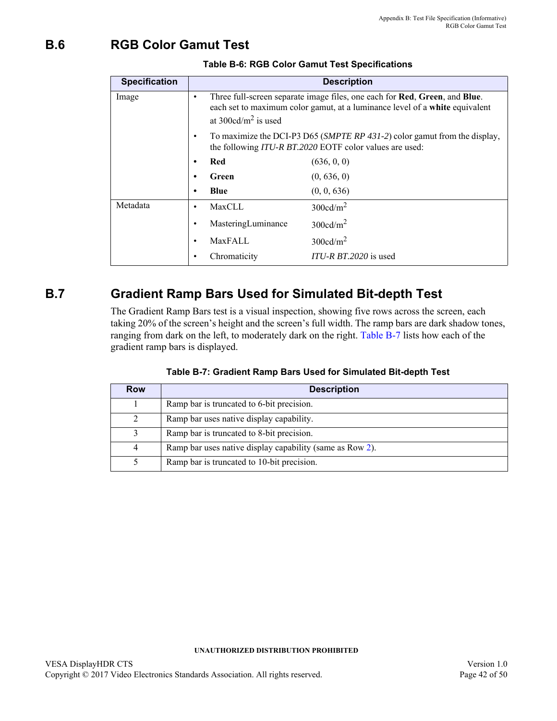# <span id="page-41-0"></span>**B.6 [RGB Color Gamut Test](#page-26-8)**

<span id="page-41-2"></span>

| <b>Specification</b> | <b>Description</b>                                                                                                                                |                                                                                                                                                           |  |
|----------------------|---------------------------------------------------------------------------------------------------------------------------------------------------|-----------------------------------------------------------------------------------------------------------------------------------------------------------|--|
| Image                | ٠<br>at $300 \text{cd/m}^2$ is used                                                                                                               | Three full-screen separate image files, one each for Red, Green, and Blue.<br>each set to maximum color gamut, at a luminance level of a white equivalent |  |
|                      | To maximize the DCI-P3 D65 (SMPTE RP 431-2) color gamut from the display,<br>$\bullet$<br>the following ITU-R BT.2020 EOTF color values are used: |                                                                                                                                                           |  |
|                      | Red<br>$\bullet$                                                                                                                                  | (636, 0, 0)                                                                                                                                               |  |
|                      | Green<br>٠                                                                                                                                        | (0, 636, 0)                                                                                                                                               |  |
|                      | Blue<br>٠                                                                                                                                         | (0, 0, 636)                                                                                                                                               |  |
| Metadata             | MaxCLL<br>$\bullet$                                                                                                                               | $300 \text{cd/m}^2$                                                                                                                                       |  |
|                      | MasteringLuminance<br>٠                                                                                                                           | $300 \text{cd/m}^2$                                                                                                                                       |  |
|                      | MaxFALL<br>٠                                                                                                                                      | $300 \text{cd/m}^2$                                                                                                                                       |  |
|                      | Chromaticity                                                                                                                                      | $ITU-R B T.2020$ is used                                                                                                                                  |  |

### **Table B-6: [RGB Color Gamut Test](#page-26-8) Specifications**

# <span id="page-41-1"></span>**B.7 Gradient Ramp Bars Used for Simulated Bit-depth Test**

The Gradient Ramp Bars test is a visual inspection, showing five rows across the screen, each taking 20% of the screen's height and the screen's full width. The ramp bars are dark shadow tones, ranging from dark on the left, to moderately dark on the right. [Table B-7](#page-41-3) lists how each of the gradient ramp bars is displayed.

<span id="page-41-4"></span><span id="page-41-3"></span>

| Row | <b>Description</b>                                       |
|-----|----------------------------------------------------------|
|     | Ramp bar is truncated to 6-bit precision.                |
| 2   | Ramp bar uses native display capability.                 |
| 3   | Ramp bar is truncated to 8-bit precision.                |
| 4   | Ramp bar uses native display capability (same as Row 2). |
|     | Ramp bar is truncated to 10-bit precision.               |

| Table B-7: Gradient Ramp Bars Used for Simulated Bit-depth Test |  |  |
|-----------------------------------------------------------------|--|--|
|                                                                 |  |  |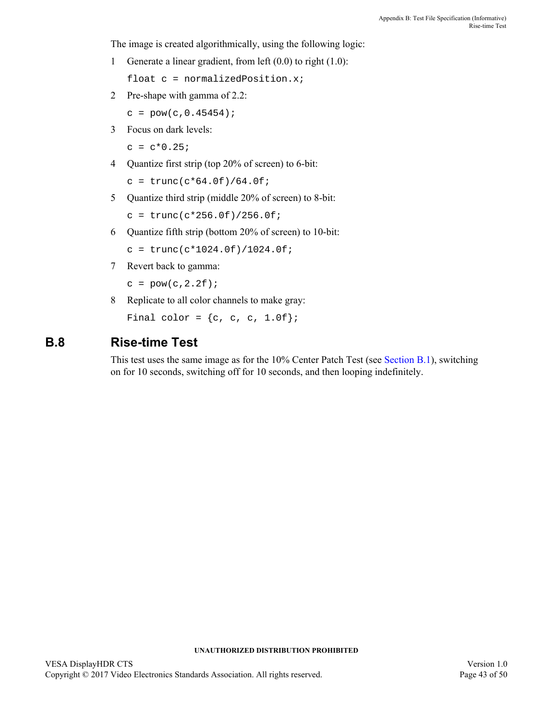The image is created algorithmically, using the following logic:

1 Generate a linear gradient, from left (0.0) to right (1.0):

float c = normalizedPosition.x;

2 Pre-shape with gamma of 2.2:

```
c = pow(c, 0.45454);
```
3 Focus on dark levels:

 $c = c*0.25;$ 

4 Quantize first strip (top 20% of screen) to 6-bit:

```
c = \text{trunc}(c*64.0f)/64.0f;
```
5 Quantize third strip (middle 20% of screen) to 8-bit:

```
c = \text{trunc}(c \cdot 256.0f)/256.0f;
```
6 Quantize fifth strip (bottom 20% of screen) to 10-bit:

```
c = \text{trunc}(c*1024.0f)/1024.0f;
```
7 Revert back to gamma:

 $c = pow(c, 2.2f);$ 

8 Replicate to all color channels to make gray:

Final color =  $\{c, c, c, 1.0f\}$ ;

## <span id="page-42-0"></span>**B.8 Rise-time Test**

This test uses the same image as for the 10% Center Patch Test (see [Section B.1\)](#page-38-0), switching on for 10 seconds, switching off for 10 seconds, and then looping indefinitely.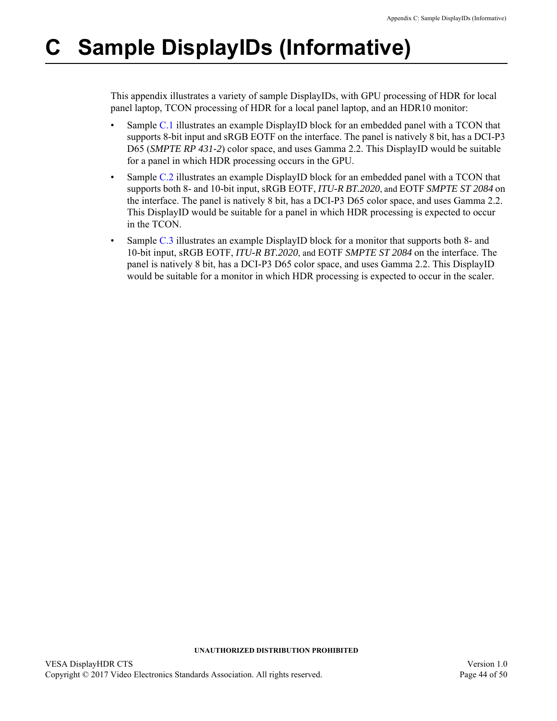# <span id="page-43-1"></span><span id="page-43-0"></span>**C Sample DisplayIDs (Informative)**

This appendix illustrates a variety of sample DisplayIDs, with GPU processing of HDR for local panel laptop, TCON processing of HDR for a local panel laptop, and an HDR10 monitor:

- Sample [C.1](#page-44-0) illustrates an example DisplayID block for an embedded panel with a TCON that supports 8-bit input and sRGB EOTF on the interface. The panel is natively 8 bit, has a DCI-P3 D65 (*SMPTE RP 431-2*) color space, and uses Gamma 2.2. This DisplayID would be suitable for a panel in which HDR processing occurs in the GPU.
- Sample [C.2](#page-46-0) illustrates an example DisplayID block for an embedded panel with a TCON that supports both 8- and 10-bit input, sRGB EOTF, *ITU-R BT.2020*, and EOTF *SMPTE ST 2084* on the interface. The panel is natively 8 bit, has a DCI-P3 D65 color space, and uses Gamma 2.2. This DisplayID would be suitable for a panel in which HDR processing is expected to occur in the TCON.
- Sample [C.3](#page-48-0) illustrates an example DisplayID block for a monitor that supports both 8- and 10-bit input, sRGB EOTF, *ITU-R BT.2020*, and EOTF *SMPTE ST 2084* on the interface. The panel is natively 8 bit, has a DCI-P3 D65 color space, and uses Gamma 2.2. This DisplayID would be suitable for a monitor in which HDR processing is expected to occur in the scaler.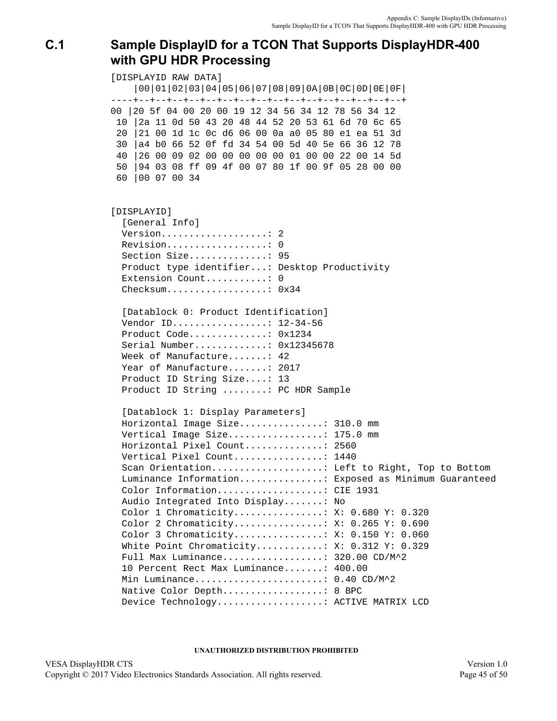# <span id="page-44-0"></span>**C.1 Sample DisplayID for a TCON That Supports DisplayHDR-400 with GPU HDR Processing**

[DISPLAYID RAW DATA] |00|01|02|03|04|05|06|07|08|09|0A|0B|0C|0D|0E|0F| ----+--+--+--+--+--+--+--+--+--+--+--+--+--+--+--+--+ 00 |20 5f 04 00 20 00 19 12 34 56 34 12 78 56 34 12 10 |2a 11 0d 50 43 20 48 44 52 20 53 61 6d 70 6c 65 20 |21 00 1d 1c 0c d6 06 00 0a a0 05 80 e1 ea 51 3d 30 |a4 b0 66 52 0f fd 34 54 00 5d 40 5e 66 36 12 78 40 |26 00 09 02 00 00 00 00 00 01 00 00 22 00 14 5d 50 |94 03 08 ff 09 4f 00 07 80 1f 00 9f 05 28 00 00 60 |00 07 00 34 [DISPLAYID] [General Info] Version...................: 2 Revision..................: 0 Section Size..............: 95 Product type identifier...: Desktop Productivity Extension Count............: 0 Checksum..................: 0x34 [Datablock 0: Product Identification] Vendor ID.................: 12-34-56 Product Code..............: 0x1234 Serial Number.............: 0x12345678 Week of Manufacture.......: 42 Year of Manufacture.......: 2017 Product ID String Size....: 13 Product ID String ........: PC HDR Sample [Datablock 1: Display Parameters] Horizontal Image Size...............: 310.0 mm Vertical Image Size.................: 175.0 mm Horizontal Pixel Count..............: 2560 Vertical Pixel Count................: 1440 Scan Orientation....................... Left to Right, Top to Bottom Luminance Information...............: Exposed as Minimum Guaranteed Color Information...................: CIE 1931 Audio Integrated Into Display.......: No Color 1 Chromaticity................: X: 0.680 Y: 0.320 Color 2 Chromaticity................: X: 0.265 Y: 0.690 Color 3 Chromaticity................: X: 0.150 Y: 0.060 White Point Chromaticity...........: X: 0.312 Y: 0.329 Full Max Luminance..................: 320.00 CD/M^2 10 Percent Rect Max Luminance.......: 400.00 Min Luminance........................: 0.40 CD/M^2 Native Color Depth...................: 8 BPC Device Technology...................: ACTIVE MATRIX LCD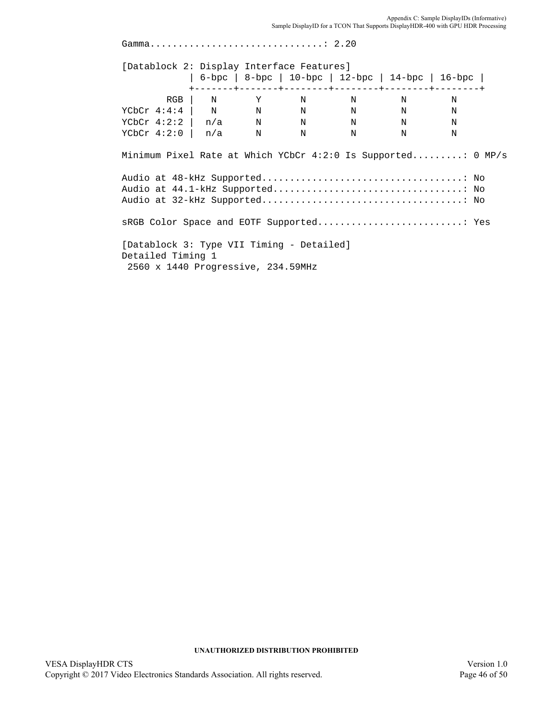Gamma...............................: 2.20 [Datablock 2: Display Interface Features] | 6-bpc | 8-bpc | 10-bpc | 12-bpc | 14-bpc | 16-bpc | +-------+-------+--------+--------+--------+--------+ RGB | N Y N N N N YCbCr 4:4:4 | N N N N N N N  $YCbCr$  4:2:2 | n/a N N N N N  $YCbCr$  4:2:0 |  $n/a$  N N N N N Minimum Pixel Rate at Which YCbCr 4:2:0 Is Supported.........: 0 MP/s Audio at 48-kHz Supported....................................: No Audio at 44.1-kHz Supported..................................: No Audio at 32-kHz Supported....................................: No sRGB Color Space and EOTF Supported..........................: Yes [Datablock 3: Type VII Timing - Detailed] Detailed Timing 1 2560 x 1440 Progressive, 234.59MHz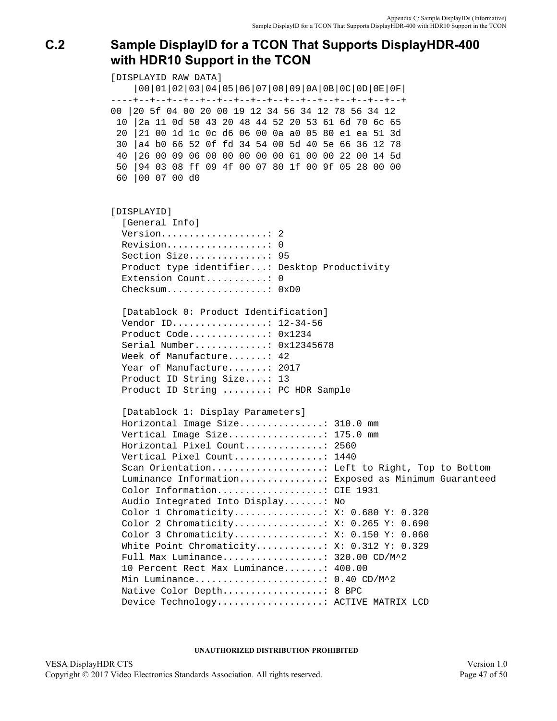# <span id="page-46-0"></span>**C.2 Sample DisplayID for a TCON That Supports DisplayHDR-400 with HDR10 Support in the TCON**

[DISPLAYID RAW DATA] |00|01|02|03|04|05|06|07|08|09|0A|0B|0C|0D|0E|0F| ----+--+--+--+--+--+--+--+--+--+--+--+--+--+--+--+--+ 00 |20 5f 04 00 20 00 19 12 34 56 34 12 78 56 34 12 10 |2a 11 0d 50 43 20 48 44 52 20 53 61 6d 70 6c 65 20 |21 00 1d 1c 0c d6 06 00 0a a0 05 80 e1 ea 51 3d 30 |a4 b0 66 52 0f fd 34 54 00 5d 40 5e 66 36 12 78 40 |26 00 09 06 00 00 00 00 00 61 00 00 22 00 14 5d 50 |94 03 08 ff 09 4f 00 07 80 1f 00 9f 05 28 00 00 60 |00 07 00 d0 [DISPLAYID] [General Info] Version...................: 2 Revision..................: 0 Section Size..............: 95 Product type identifier...: Desktop Productivity Extension Count.............: 0 Checksum...................: 0xD0 [Datablock 0: Product Identification] Vendor ID.................: 12-34-56 Product Code..............: 0x1234 Serial Number.............: 0x12345678 Week of Manufacture.......: 42 Year of Manufacture.......: 2017 Product ID String Size....: 13 Product ID String ........: PC HDR Sample [Datablock 1: Display Parameters] Horizontal Image Size...............: 310.0 mm Vertical Image Size.................: 175.0 mm Horizontal Pixel Count..............: 2560 Vertical Pixel Count................: 1440 Scan Orientation....................... Left to Right, Top to Bottom Luminance Information...............: Exposed as Minimum Guaranteed Color Information...................: CIE 1931 Audio Integrated Into Display.......: No Color 1 Chromaticity................: X: 0.680 Y: 0.320 Color 2 Chromaticity................: X: 0.265 Y: 0.690 Color 3 Chromaticity................: X: 0.150 Y: 0.060 White Point Chromaticity...........: X: 0.312 Y: 0.329 Full Max Luminance..................: 320.00 CD/M^2 10 Percent Rect Max Luminance.......: 400.00 Min Luminance.......................: 0.40 CD/M^2 Native Color Depth...................: 8 BPC Device Technology...................: ACTIVE MATRIX LCD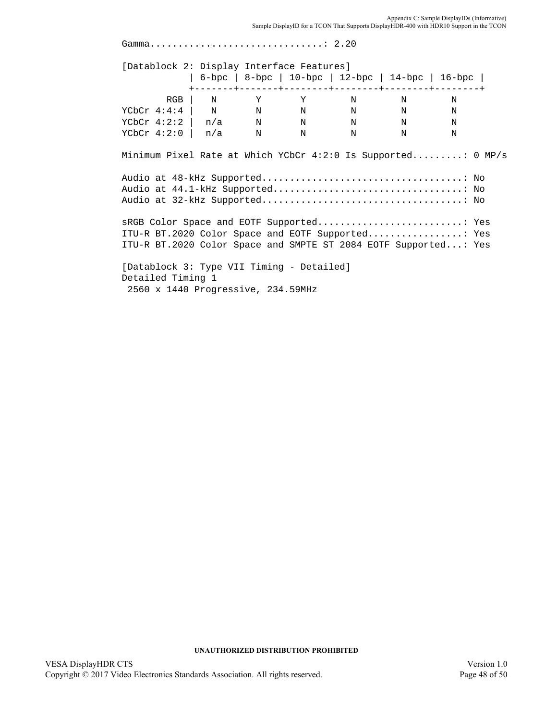Appendix C: Sample DisplayIDs (Informative)<br>Sample DisplayID for a TCON That Supports DisplayHDR-400 with HDR10 Support in the TCON

| [Datablock 2: Display Interface Features]                       |  |  |                                                   |             |  |
|-----------------------------------------------------------------|--|--|---------------------------------------------------|-------------|--|
|                                                                 |  |  | 6-bpc   8-bpc   10-bpc   12-bpc   14-bpc   16-bpc |             |  |
|                                                                 |  |  | $RGB$   N Y Y N N                                 | $\mathbf N$ |  |
| YCbCr 4:4:4   N N N N N N N                                     |  |  |                                                   |             |  |
| YCbCr 4:2:2   $n/a$ N N N N N                                   |  |  |                                                   |             |  |
| YCbCr 4:2:0   $n/a$ N N N N N                                   |  |  |                                                   |             |  |
|                                                                 |  |  |                                                   |             |  |
|                                                                 |  |  |                                                   |             |  |
| ITU-R BT.2020 Color Space and EOTF Supported                Yes |  |  |                                                   |             |  |
| ITU-R BT.2020 Color Space and SMPTE ST 2084 EOTF Supported: Yes |  |  |                                                   |             |  |
| [Datablock 3: Type VII Timing - Detailed]                       |  |  |                                                   |             |  |
| Detailed Timing 1                                               |  |  |                                                   |             |  |
| 2560 x 1440 Progressive, 234.59MHz                              |  |  |                                                   |             |  |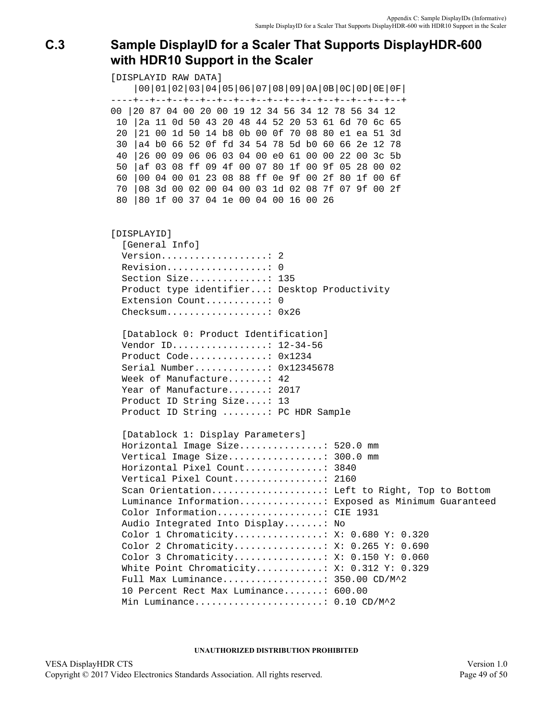# <span id="page-48-0"></span>**C.3 Sample DisplayID for a Scaler That Supports DisplayHDR-600 with HDR10 Support in the Scaler**

[DISPLAYID RAW DATA] |00|01|02|03|04|05|06|07|08|09|0A|0B|0C|0D|0E|0F| ----+--+--+--+--+--+--+--+--+--+--+--+--+--+--+--+--+ 00 |20 87 04 00 20 00 19 12 34 56 34 12 78 56 34 12 10 |2a 11 0d 50 43 20 48 44 52 20 53 61 6d 70 6c 65 20 |21 00 1d 50 14 b8 0b 00 0f 70 08 80 e1 ea 51 3d 30 |a4 b0 66 52 0f fd 34 54 78 5d b0 60 66 2e 12 78 40 |26 00 09 06 06 03 04 00 e0 61 00 00 22 00 3c 5b 50 |af 03 08 ff 09 4f 00 07 80 1f 00 9f 05 28 00 02 60 |00 04 00 01 23 08 88 ff 0e 9f 00 2f 80 1f 00 6f 70 |08 3d 00 02 00 04 00 03 1d 02 08 7f 07 9f 00 2f 80 |80 1f 00 37 04 1e 00 04 00 16 00 26 [DISPLAYID] [General Info] Version...................: 2 Revision..................: 0 Section Size..............: 135 Product type identifier...: Desktop Productivity Extension Count............: 0 Checksum..................: 0x26 [Datablock 0: Product Identification] Vendor ID.................: 12-34-56 Product Code..............: 0x1234 Serial Number.............: 0x12345678 Week of Manufacture.......: 42 Year of Manufacture.......: 2017 Product ID String Size....: 13 Product ID String ........: PC HDR Sample [Datablock 1: Display Parameters] Horizontal Image Size...............: 520.0 mm Vertical Image Size.................: 300.0 mm Horizontal Pixel Count..............: 3840 Vertical Pixel Count................: 2160 Scan Orientation....................: Left to Right, Top to Bottom Luminance Information...............: Exposed as Minimum Guaranteed Color Information...................: CIE 1931 Audio Integrated Into Display.......: No Color 1 Chromaticity................: X: 0.680 Y: 0.320 Color 2 Chromaticity................: X: 0.265 Y: 0.690 Color 3 Chromaticity................: X: 0.150 Y: 0.060 White Point Chromaticity...........: X: 0.312 Y: 0.329 Full Max Luminance..................: 350.00 CD/M^2 10 Percent Rect Max Luminance.......: 600.00 Min Luminance.......................: 0.10 CD/M^2